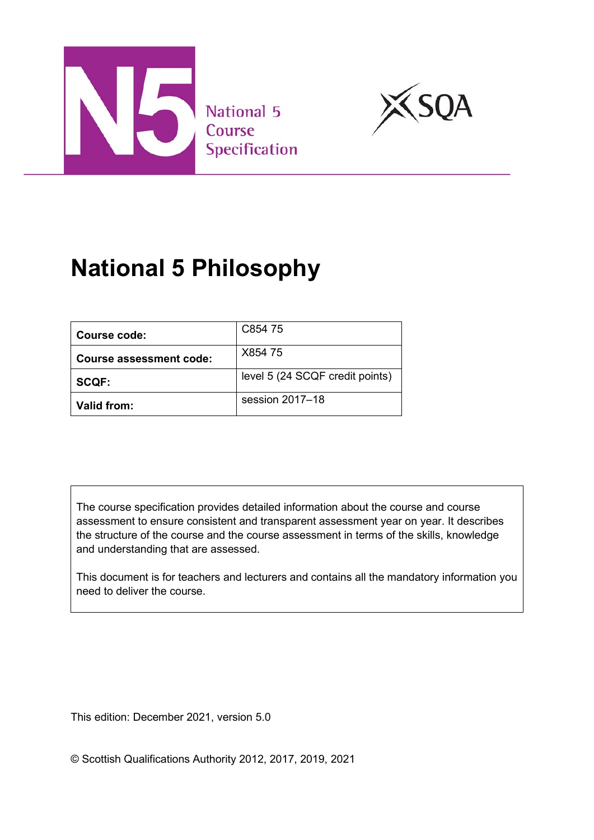



# **National 5 Philosophy**

| Course code:                   | C <sub>854</sub> 75             |  |
|--------------------------------|---------------------------------|--|
| <b>Course assessment code:</b> | X854 75                         |  |
| <b>SCQF:</b>                   | level 5 (24 SCQF credit points) |  |
| Valid from:                    | session 2017–18                 |  |

The course specification provides detailed information about the course and course assessment to ensure consistent and transparent assessment year on year. It describes the structure of the course and the course assessment in terms of the skills, knowledge and understanding that are assessed.

This document is for teachers and lecturers and contains all the mandatory information you need to deliver the course.

This edition: December 2021, version 5.0

© Scottish Qualifications Authority 2012, 2017, 2019, 2021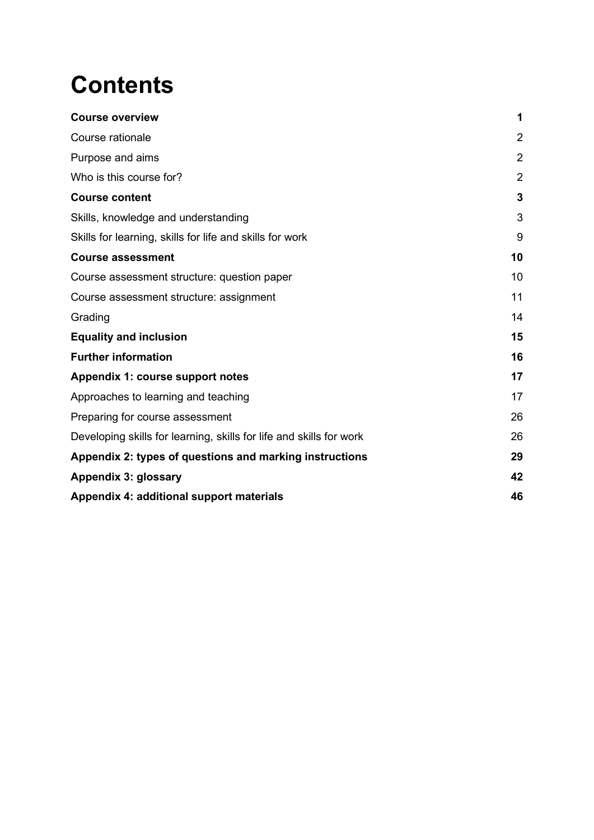# **Contents**

| <b>Course overview</b>                                              | 1              |
|---------------------------------------------------------------------|----------------|
| Course rationale                                                    | $\overline{2}$ |
| Purpose and aims                                                    | $\overline{2}$ |
| Who is this course for?                                             | $\overline{2}$ |
| <b>Course content</b>                                               | 3              |
| Skills, knowledge and understanding                                 | 3              |
| Skills for learning, skills for life and skills for work            | 9              |
| <b>Course assessment</b>                                            | 10             |
| Course assessment structure: question paper                         | 10             |
| Course assessment structure: assignment                             | 11             |
| Grading                                                             | 14             |
| <b>Equality and inclusion</b>                                       | 15             |
| <b>Further information</b>                                          | 16             |
| Appendix 1: course support notes                                    | 17             |
| Approaches to learning and teaching                                 | 17             |
| Preparing for course assessment                                     | 26             |
| Developing skills for learning, skills for life and skills for work | 26             |
| Appendix 2: types of questions and marking instructions             | 29             |
| Appendix 3: glossary                                                | 42             |
| Appendix 4: additional support materials                            | 46             |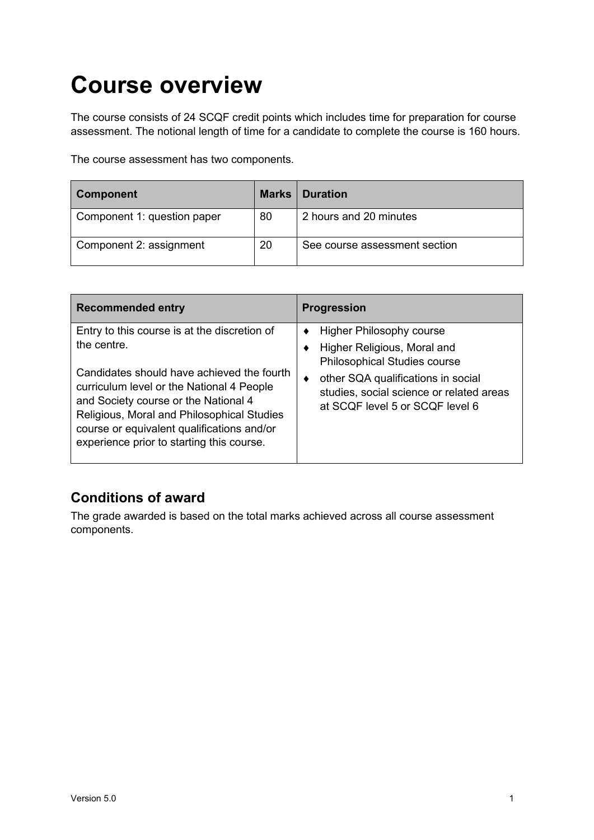# <span id="page-2-0"></span>**Course overview**

The course consists of 24 SCQF credit points which includes time for preparation for course assessment. The notional length of time for a candidate to complete the course is 160 hours.

The course assessment has two components.

| <b>Component</b>            | <b>Marks</b> | <b>Duration</b>               |
|-----------------------------|--------------|-------------------------------|
| Component 1: question paper | 80           | 2 hours and 20 minutes        |
| Component 2: assignment     | 20           | See course assessment section |

| <b>Recommended entry</b>                                                                                                                                                                     | <b>Progression</b>                                                                                                                                                                      |
|----------------------------------------------------------------------------------------------------------------------------------------------------------------------------------------------|-----------------------------------------------------------------------------------------------------------------------------------------------------------------------------------------|
| Entry to this course is at the discretion of                                                                                                                                                 | <b>Higher Philosophy course</b>                                                                                                                                                         |
| the centre.<br>Candidates should have achieved the fourth<br>curriculum level or the National 4 People<br>and Society course or the National 4<br>Religious, Moral and Philosophical Studies | Higher Religious, Moral and<br><b>Philosophical Studies course</b><br>other SQA qualifications in social<br>studies, social science or related areas<br>at SCQF level 5 or SCQF level 6 |
| course or equivalent qualifications and/or<br>experience prior to starting this course.                                                                                                      |                                                                                                                                                                                         |

### **Conditions of award**

The grade awarded is based on the total marks achieved across all course assessment components.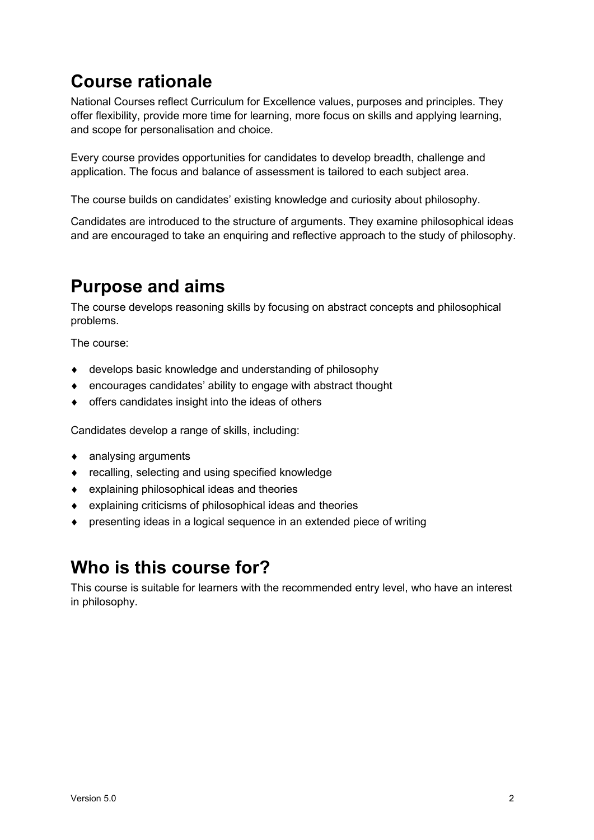# <span id="page-3-0"></span>**Course rationale**

National Courses reflect Curriculum for Excellence values, purposes and principles. They offer flexibility, provide more time for learning, more focus on skills and applying learning, and scope for personalisation and choice.

Every course provides opportunities for candidates to develop breadth, challenge and application. The focus and balance of assessment is tailored to each subject area.

The course builds on candidates' existing knowledge and curiosity about philosophy.

Candidates are introduced to the structure of arguments. They examine philosophical ideas and are encouraged to take an enquiring and reflective approach to the study of philosophy.

# <span id="page-3-1"></span>**Purpose and aims**

The course develops reasoning skills by focusing on abstract concepts and philosophical problems.

The course:

- ♦ develops basic knowledge and understanding of philosophy
- ♦ encourages candidates' ability to engage with abstract thought
- ♦ offers candidates insight into the ideas of others

Candidates develop a range of skills, including:

- $\bullet$  analysing arguments
- ♦ recalling, selecting and using specified knowledge
- ♦ explaining philosophical ideas and theories
- ♦ explaining criticisms of philosophical ideas and theories
- ♦ presenting ideas in a logical sequence in an extended piece of writing

# <span id="page-3-2"></span>**Who is this course for?**

This course is suitable for learners with the recommended entry level, who have an interest in philosophy.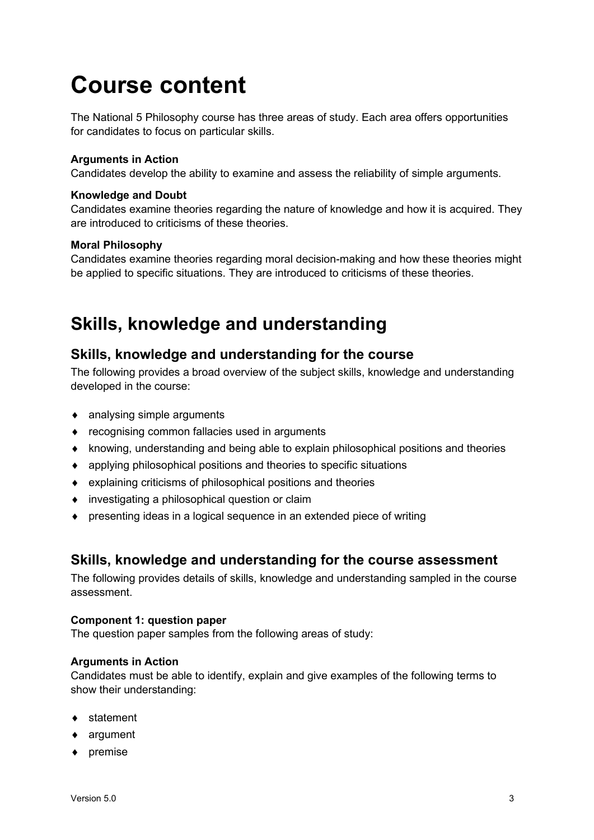# <span id="page-4-0"></span>**Course content**

The National 5 Philosophy course has three areas of study. Each area offers opportunities for candidates to focus on particular skills.

#### **Arguments in Action**

Candidates develop the ability to examine and assess the reliability of simple arguments.

#### **Knowledge and Doubt**

Candidates examine theories regarding the nature of knowledge and how it is acquired. They are introduced to criticisms of these theories.

#### **Moral Philosophy**

Candidates examine theories regarding moral decision-making and how these theories might be applied to specific situations. They are introduced to criticisms of these theories.

# <span id="page-4-1"></span>**Skills, knowledge and understanding**

#### **Skills, knowledge and understanding for the course**

The following provides a broad overview of the subject skills, knowledge and understanding developed in the course:

- ♦ analysing simple arguments
- ♦ recognising common fallacies used in arguments
- ♦ knowing, understanding and being able to explain philosophical positions and theories
- ♦ applying philosophical positions and theories to specific situations
- ♦ explaining criticisms of philosophical positions and theories
- ♦ investigating a philosophical question or claim
- ♦ presenting ideas in a logical sequence in an extended piece of writing

#### **Skills, knowledge and understanding for the course assessment**

The following provides details of skills, knowledge and understanding sampled in the course assessment.

#### **Component 1: question paper**

The question paper samples from the following areas of study:

#### **Arguments in Action**

Candidates must be able to identify, explain and give examples of the following terms to show their understanding:

- ♦ statement
- ♦ argument
- ♦ premise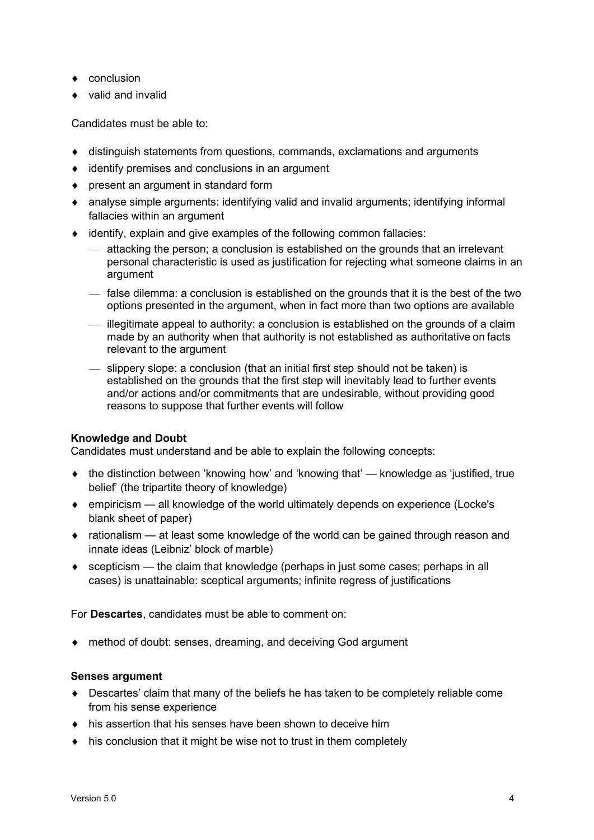- ♦ conclusion
- ♦ valid and invalid

Candidates must be able to:

- ♦ distinguish statements from questions, commands, exclamations and arguments
- ♦ identify premises and conclusions in an argument
- ♦ present an argument in standard form
- ♦ analyse simple arguments: identifying valid and invalid arguments; identifying informal fallacies within an argument
- ♦ identify, explain and give examples of the following common fallacies:
	- attacking the person; a conclusion is established on the grounds that an irrelevant personal characteristic is used as justification for rejecting what someone claims in an argument
	- false dilemma: a conclusion is established on the grounds that it is the best of the two options presented in the argument, when in fact more than two options are available
	- illegitimate appeal to authority: a conclusion is established on the grounds of a claim made by an authority when that authority is not established as authoritative on facts relevant to the argument
	- slippery slope: a conclusion (that an initial first step should not be taken) is established on the grounds that the first step will inevitably lead to further events and/or actions and/or commitments that are undesirable, without providing good reasons to suppose that further events will follow

#### **Knowledge and Doubt**

Candidates must understand and be able to explain the following concepts:

- ♦ the distinction between 'knowing how' and 'knowing that' knowledge as 'justified, true belief' (the tripartite theory of knowledge)
- ♦ empiricism all knowledge of the world ultimately depends on experience (Locke's blank sheet of paper)
- ♦ rationalism at least some knowledge of the world can be gained through reason and innate ideas (Leibniz' block of marble)
- ♦ scepticism the claim that knowledge (perhaps in just some cases; perhaps in all cases) is unattainable: sceptical arguments; infinite regress of justifications

For **Descartes**, candidates must be able to comment on:

♦ method of doubt: senses, dreaming, and deceiving God argument

#### **Senses argument**

- ♦ Descartes' claim that many of the beliefs he has taken to be completely reliable come from his sense experience
- ♦ his assertion that his senses have been shown to deceive him
- $\bullet$  his conclusion that it might be wise not to trust in them completely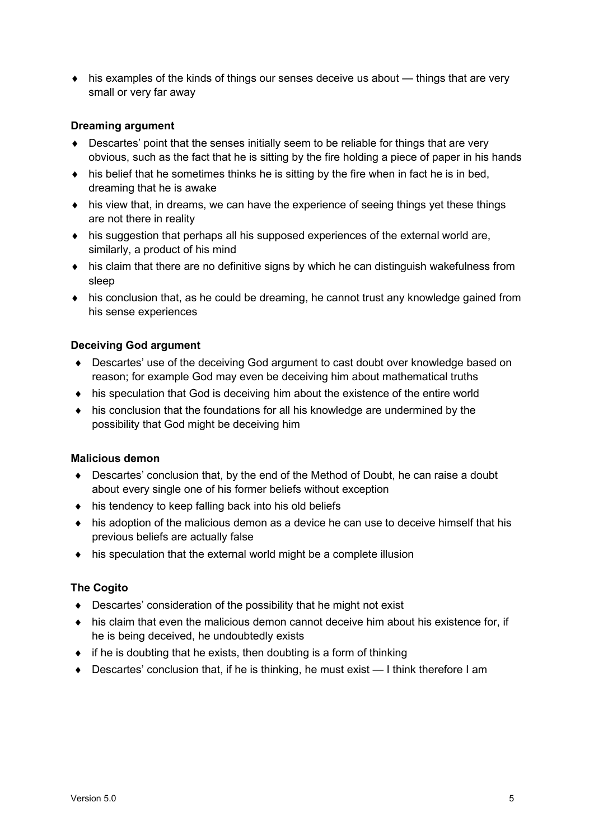$\bullet$  his examples of the kinds of things our senses deceive us about — things that are very small or very far away

#### **Dreaming argument**

- ♦ Descartes' point that the senses initially seem to be reliable for things that are very obvious, such as the fact that he is sitting by the fire holding a piece of paper in his hands
- $\bullet$  his belief that he sometimes thinks he is sitting by the fire when in fact he is in bed, dreaming that he is awake
- $\bullet$  his view that, in dreams, we can have the experience of seeing things yet these things are not there in reality
- $\bullet$  his suggestion that perhaps all his supposed experiences of the external world are, similarly, a product of his mind
- ♦ his claim that there are no definitive signs by which he can distinguish wakefulness from sleep
- ♦ his conclusion that, as he could be dreaming, he cannot trust any knowledge gained from his sense experiences

#### **Deceiving God argument**

- ♦ Descartes' use of the deceiving God argument to cast doubt over knowledge based on reason; for example God may even be deceiving him about mathematical truths
- ♦ his speculation that God is deceiving him about the existence of the entire world
- ♦ his conclusion that the foundations for all his knowledge are undermined by the possibility that God might be deceiving him

#### **Malicious demon**

- ♦ Descartes' conclusion that, by the end of the Method of Doubt, he can raise a doubt about every single one of his former beliefs without exception
- ♦ his tendency to keep falling back into his old beliefs
- ♦ his adoption of the malicious demon as a device he can use to deceive himself that his previous beliefs are actually false
- ♦ his speculation that the external world might be a complete illusion

#### **The Cogito**

- ♦ Descartes' consideration of the possibility that he might not exist
- $\bullet$  his claim that even the malicious demon cannot deceive him about his existence for, if he is being deceived, he undoubtedly exists
- $\bullet$  if he is doubting that he exists, then doubting is a form of thinking
- ♦ Descartes' conclusion that, if he is thinking, he must exist I think therefore I am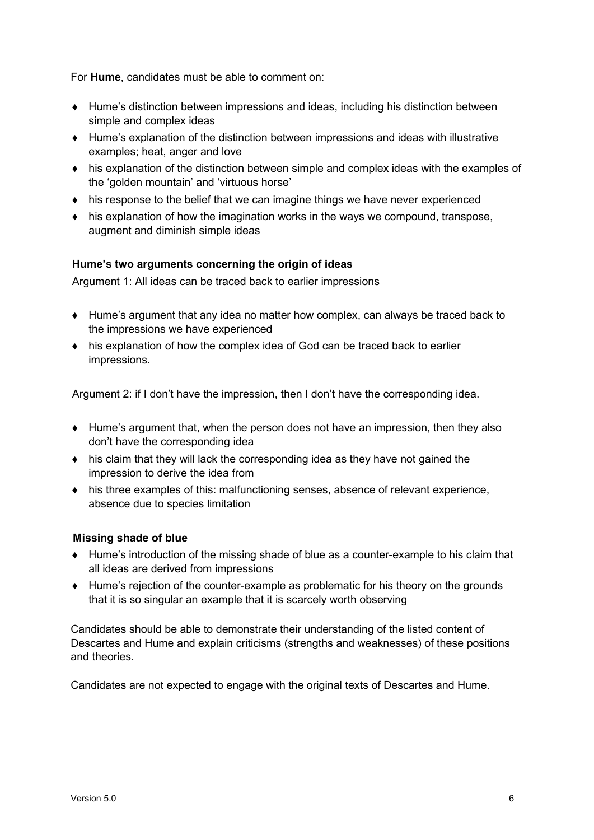For **Hume**, candidates must be able to comment on:

- ♦ Hume's distinction between impressions and ideas, including his distinction between simple and complex ideas
- ♦ Hume's explanation of the distinction between impressions and ideas with illustrative examples; heat, anger and love
- ♦ his explanation of the distinction between simple and complex ideas with the examples of the 'golden mountain' and 'virtuous horse'
- ♦ his response to the belief that we can imagine things we have never experienced
- $\bullet$  his explanation of how the imagination works in the ways we compound, transpose, augment and diminish simple ideas

#### **Hume's two arguments concerning the origin of ideas**

Argument 1: All ideas can be traced back to earlier impressions

- ♦ Hume's argument that any idea no matter how complex, can always be traced back to the impressions we have experienced
- ♦ his explanation of how the complex idea of God can be traced back to earlier impressions.

Argument 2: if I don't have the impression, then I don't have the corresponding idea.

- ♦ Hume's argument that, when the person does not have an impression, then they also don't have the corresponding idea
- $\bullet$  his claim that they will lack the corresponding idea as they have not gained the impression to derive the idea from
- $\bullet$  his three examples of this: malfunctioning senses, absence of relevant experience, absence due to species limitation

#### **Missing shade of blue**

- ♦ Hume's introduction of the missing shade of blue as a counter-example to his claim that all ideas are derived from impressions
- ♦ Hume's rejection of the counter-example as problematic for his theory on the grounds that it is so singular an example that it is scarcely worth observing

Candidates should be able to demonstrate their understanding of the listed content of Descartes and Hume and explain criticisms (strengths and weaknesses) of these positions and theories.

Candidates are not expected to engage with the original texts of Descartes and Hume.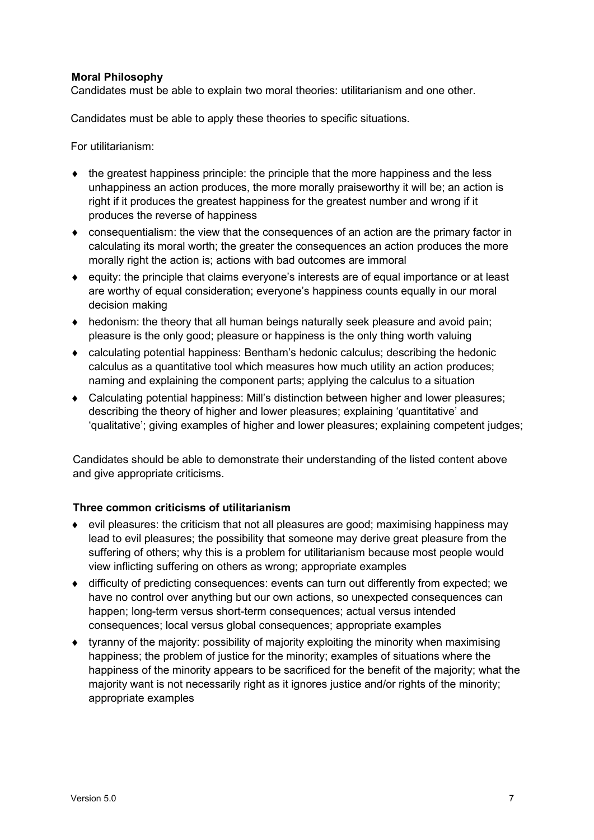#### **Moral Philosophy**

Candidates must be able to explain two moral theories: utilitarianism and one other.

Candidates must be able to apply these theories to specific situations.

For utilitarianism:

- $\bullet$  the greatest happiness principle: the principle that the more happiness and the less unhappiness an action produces, the more morally praiseworthy it will be; an action is right if it produces the greatest happiness for the greatest number and wrong if it produces the reverse of happiness
- $\bullet$  consequentialism: the view that the consequences of an action are the primary factor in calculating its moral worth; the greater the consequences an action produces the more morally right the action is; actions with bad outcomes are immoral
- ♦ equity: the principle that claims everyone's interests are of equal importance or at least are worthy of equal consideration; everyone's happiness counts equally in our moral decision making
- ♦ hedonism: the theory that all human beings naturally seek pleasure and avoid pain; pleasure is the only good; pleasure or happiness is the only thing worth valuing
- ♦ calculating potential happiness: Bentham's hedonic calculus; describing the hedonic calculus as a quantitative tool which measures how much utility an action produces; naming and explaining the component parts; applying the calculus to a situation
- ♦ Calculating potential happiness: Mill's distinction between higher and lower pleasures; describing the theory of higher and lower pleasures; explaining 'quantitative' and 'qualitative'; giving examples of higher and lower pleasures; explaining competent judges;

Candidates should be able to demonstrate their understanding of the listed content above and give appropriate criticisms.

#### **Three common criticisms of utilitarianism**

- ♦ evil pleasures: the criticism that not all pleasures are good; maximising happiness may lead to evil pleasures; the possibility that someone may derive great pleasure from the suffering of others; why this is a problem for utilitarianism because most people would view inflicting suffering on others as wrong; appropriate examples
- ♦ difficulty of predicting consequences: events can turn out differently from expected; we have no control over anything but our own actions, so unexpected consequences can happen; long-term versus short-term consequences; actual versus intended consequences; local versus global consequences; appropriate examples
- ♦ tyranny of the majority: possibility of majority exploiting the minority when maximising happiness; the problem of justice for the minority; examples of situations where the happiness of the minority appears to be sacrificed for the benefit of the majority; what the majority want is not necessarily right as it ignores justice and/or rights of the minority; appropriate examples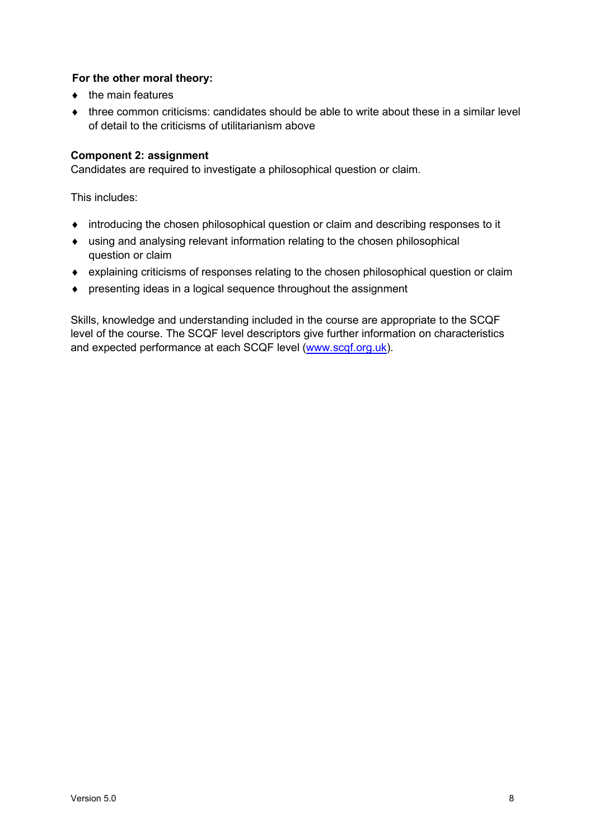#### **For the other moral theory:**

- $\bullet$  the main features
- $\bullet$  three common criticisms: candidates should be able to write about these in a similar level of detail to the criticisms of utilitarianism above

#### **Component 2: assignment**

Candidates are required to investigate a philosophical question or claim.

This includes:

- ♦ introducing the chosen philosophical question or claim and describing responses to it
- ♦ using and analysing relevant information relating to the chosen philosophical question or claim
- ♦ explaining criticisms of responses relating to the chosen philosophical question or claim
- ♦ presenting ideas in a logical sequence throughout the assignment

Skills, knowledge and understanding included in the course are appropriate to the SCQF level of the course. The SCQF level descriptors give further information on characteristics and expected performance at each SCQF level [\(www.scqf.org.uk\)](http://www.scqf.org.uk/).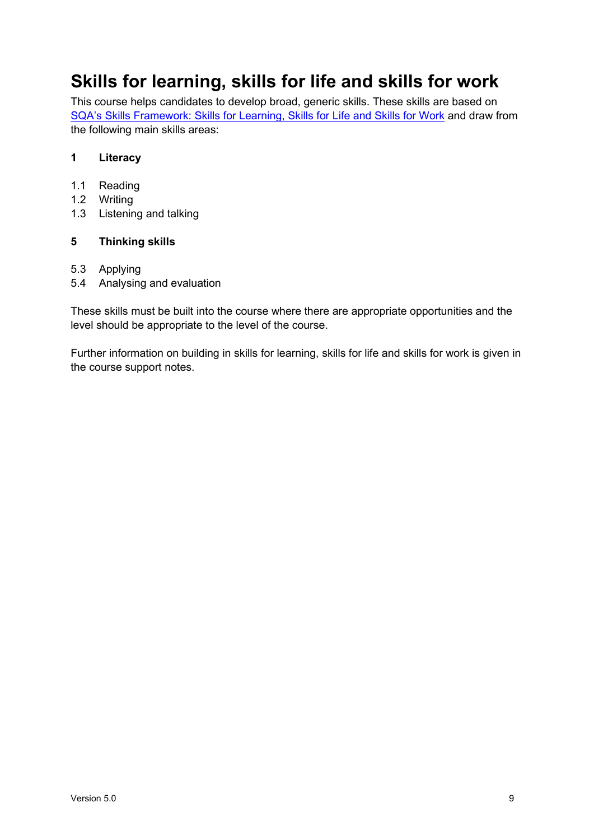# <span id="page-10-0"></span>**Skills for learning, skills for life and skills for work**

This course helps candidates to develop broad, generic skills. These skills are based on [SQA's Skills Framework: Skills for Learning, Skills for Life and Skills for Work](http://www.sqa.org.uk/sqa/63101.html) and draw from the following main skills areas:

#### **1 Literacy**

- 1.1 Reading
- 1.2 Writing
- 1.3 Listening and talking

#### **5 Thinking skills**

- 5.3 Applying
- 5.4 Analysing and evaluation

These skills must be built into the course where there are appropriate opportunities and the level should be appropriate to the level of the course.

Further information on building in skills for learning, skills for life and skills for work is given in the course support notes.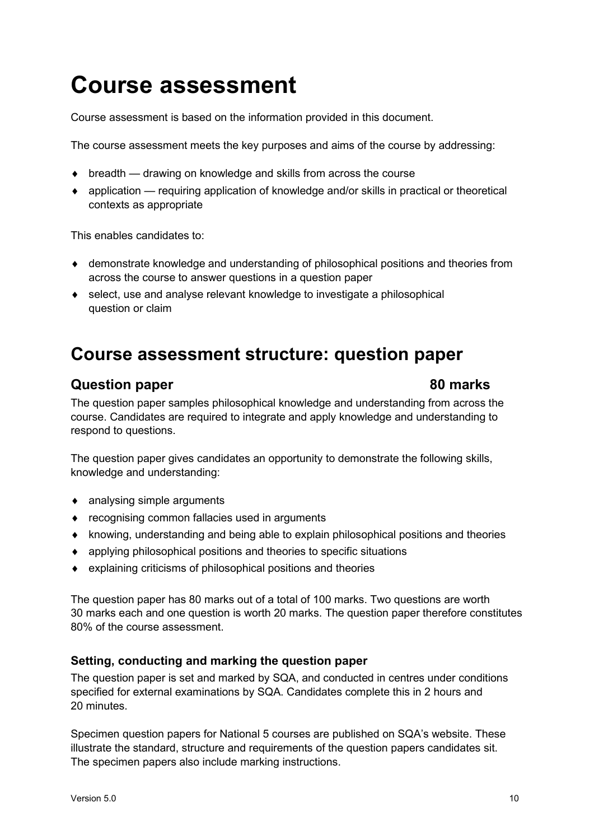# <span id="page-11-0"></span>**Course assessment**

Course assessment is based on the information provided in this document.

The course assessment meets the key purposes and aims of the course by addressing:

- ♦ breadth drawing on knowledge and skills from across the course
- ♦ application requiring application of knowledge and/or skills in practical or theoretical contexts as appropriate

This enables candidates to:

- ♦ demonstrate knowledge and understanding of philosophical positions and theories from across the course to answer questions in a question paper
- ♦ select, use and analyse relevant knowledge to investigate a philosophical question or claim

# <span id="page-11-1"></span>**Course assessment structure: question paper**

### **Question paper 80 marks**

The question paper samples philosophical knowledge and understanding from across the course. Candidates are required to integrate and apply knowledge and understanding to respond to questions.

The question paper gives candidates an opportunity to demonstrate the following skills, knowledge and understanding:

- ♦ analysing simple arguments
- ♦ recognising common fallacies used in arguments
- ♦ knowing, understanding and being able to explain philosophical positions and theories
- ♦ applying philosophical positions and theories to specific situations
- ♦ explaining criticisms of philosophical positions and theories

The question paper has 80 marks out of a total of 100 marks. Two questions are worth 30 marks each and one question is worth 20 marks. The question paper therefore constitutes 80% of the course assessment.

#### **Setting, conducting and marking the question paper**

The question paper is set and marked by SQA, and conducted in centres under conditions specified for external examinations by SQA. Candidates complete this in 2 hours and 20 minutes.

Specimen question papers for National 5 courses are published on SQA's website. These illustrate the standard, structure and requirements of the question papers candidates sit. The specimen papers also include marking instructions.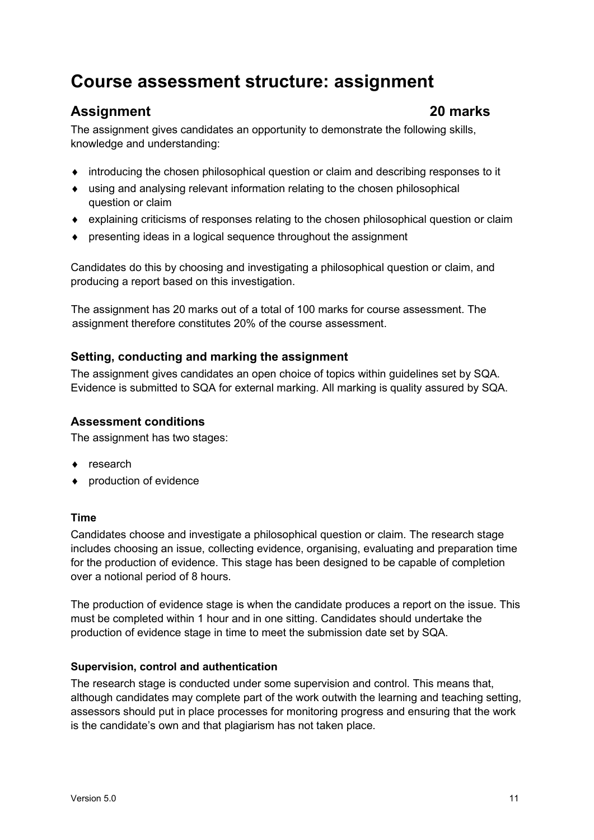# <span id="page-12-0"></span>**Course assessment structure: assignment**

### **Assignment 20 marks**

The assignment gives candidates an opportunity to demonstrate the following skills, knowledge and understanding:

- ♦ introducing the chosen philosophical question or claim and describing responses to it
- ♦ using and analysing relevant information relating to the chosen philosophical question or claim
- ♦ explaining criticisms of responses relating to the chosen philosophical question or claim
- ♦ presenting ideas in a logical sequence throughout the assignment

Candidates do this by choosing and investigating a philosophical question or claim, and producing a report based on this investigation.

The assignment has 20 marks out of a total of 100 marks for course assessment. The assignment therefore constitutes 20% of the course assessment.

#### **Setting, conducting and marking the assignment**

The assignment gives candidates an open choice of topics within guidelines set by SQA. Evidence is submitted to SQA for external marking. All marking is quality assured by SQA.

#### **Assessment conditions**

The assignment has two stages:

- ♦ research
- ♦ production of evidence

#### **Time**

Candidates choose and investigate a philosophical question or claim. The research stage includes choosing an issue, collecting evidence, organising, evaluating and preparation time for the production of evidence. This stage has been designed to be capable of completion over a notional period of 8 hours.

The production of evidence stage is when the candidate produces a report on the issue. This must be completed within 1 hour and in one sitting. Candidates should undertake the production of evidence stage in time to meet the submission date set by SQA.

#### **Supervision, control and authentication**

The research stage is conducted under some supervision and control. This means that, although candidates may complete part of the work outwith the learning and teaching setting, assessors should put in place processes for monitoring progress and ensuring that the work is the candidate's own and that plagiarism has not taken place.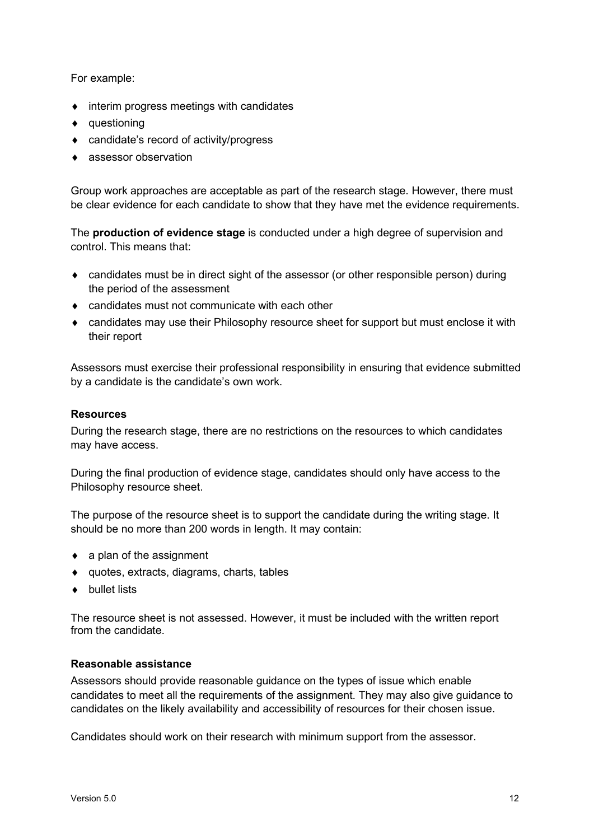For example:

- ♦ interim progress meetings with candidates
- ♦ questioning
- ♦ candidate's record of activity/progress
- ♦ assessor observation

Group work approaches are acceptable as part of the research stage. However, there must be clear evidence for each candidate to show that they have met the evidence requirements.

The **production of evidence stage** is conducted under a high degree of supervision and control. This means that:

- ♦ candidates must be in direct sight of the assessor (or other responsible person) during the period of the assessment
- ♦ candidates must not communicate with each other
- ♦ candidates may use their Philosophy resource sheet for support but must enclose it with their report

Assessors must exercise their professional responsibility in ensuring that evidence submitted by a candidate is the candidate's own work.

#### **Resources**

During the research stage, there are no restrictions on the resources to which candidates may have access.

During the final production of evidence stage, candidates should only have access to the Philosophy resource sheet.

The purpose of the resource sheet is to support the candidate during the writing stage. It should be no more than 200 words in length. It may contain:

- $\bullet$  a plan of the assignment
- ♦ quotes, extracts, diagrams, charts, tables
- ♦ bullet lists

The resource sheet is not assessed. However, it must be included with the written report from the candidate.

#### **Reasonable assistance**

Assessors should provide reasonable guidance on the types of issue which enable candidates to meet all the requirements of the assignment. They may also give guidance to candidates on the likely availability and accessibility of resources for their chosen issue.

Candidates should work on their research with minimum support from the assessor.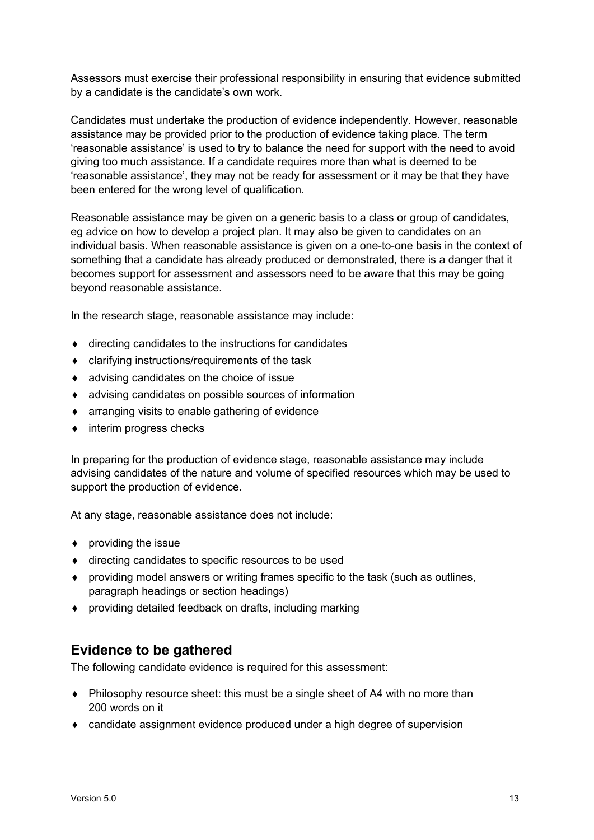Assessors must exercise their professional responsibility in ensuring that evidence submitted by a candidate is the candidate's own work.

Candidates must undertake the production of evidence independently. However, reasonable assistance may be provided prior to the production of evidence taking place. The term 'reasonable assistance' is used to try to balance the need for support with the need to avoid giving too much assistance. If a candidate requires more than what is deemed to be 'reasonable assistance', they may not be ready for assessment or it may be that they have been entered for the wrong level of qualification.

Reasonable assistance may be given on a generic basis to a class or group of candidates, eg advice on how to develop a project plan. It may also be given to candidates on an individual basis. When reasonable assistance is given on a one-to-one basis in the context of something that a candidate has already produced or demonstrated, there is a danger that it becomes support for assessment and assessors need to be aware that this may be going beyond reasonable assistance.

In the research stage, reasonable assistance may include:

- ♦ directing candidates to the instructions for candidates
- ♦ clarifying instructions/requirements of the task
- ♦ advising candidates on the choice of issue
- ♦ advising candidates on possible sources of information
- ♦ arranging visits to enable gathering of evidence
- $\bullet$  interim progress checks

In preparing for the production of evidence stage, reasonable assistance may include advising candidates of the nature and volume of specified resources which may be used to support the production of evidence.

At any stage, reasonable assistance does not include:

- $\bullet$  providing the issue
- ♦ directing candidates to specific resources to be used
- $\bullet$  providing model answers or writing frames specific to the task (such as outlines, paragraph headings or section headings)
- ♦ providing detailed feedback on drafts, including marking

### **Evidence to be gathered**

The following candidate evidence is required for this assessment:

- ♦ Philosophy resource sheet: this must be a single sheet of A4 with no more than 200 words on it
- ♦ candidate assignment evidence produced under a high degree of supervision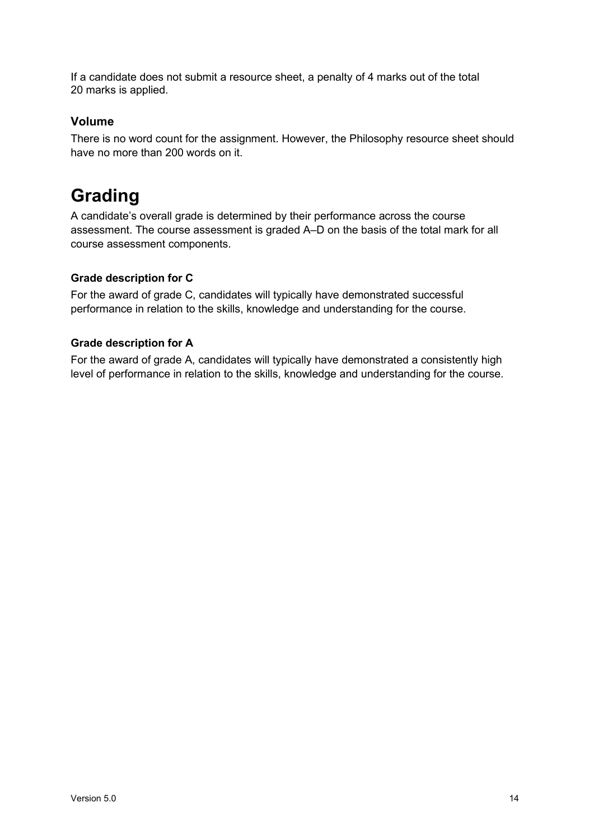If a candidate does not submit a resource sheet, a penalty of 4 marks out of the total 20 marks is applied.

#### **Volume**

There is no word count for the assignment. However, the Philosophy resource sheet should have no more than 200 words on it.

# <span id="page-15-0"></span>**Grading**

A candidate's overall grade is determined by their performance across the course assessment. The course assessment is graded A–D on the basis of the total mark for all course assessment components.

#### **Grade description for C**

For the award of grade C, candidates will typically have demonstrated successful performance in relation to the skills, knowledge and understanding for the course.

#### **Grade description for A**

For the award of grade A, candidates will typically have demonstrated a consistently high level of performance in relation to the skills, knowledge and understanding for the course.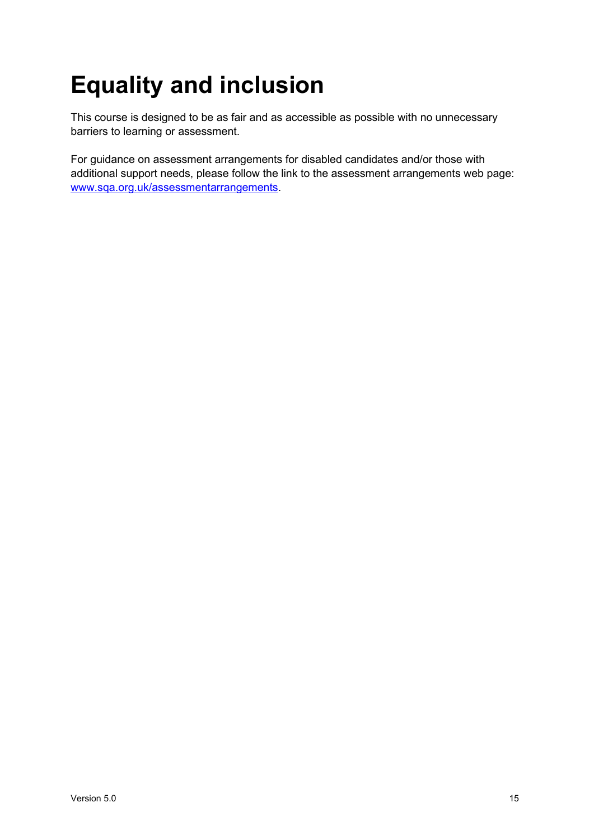# <span id="page-16-0"></span>**Equality and inclusion**

This course is designed to be as fair and as accessible as possible with no unnecessary barriers to learning or assessment.

For guidance on assessment arrangements for disabled candidates and/or those with additional support needs, please follow the link to the assessment arrangements web page: [www.sqa.org.uk/assessmentarrangements.](http://www.sqa.org.uk/sqa/14977.html)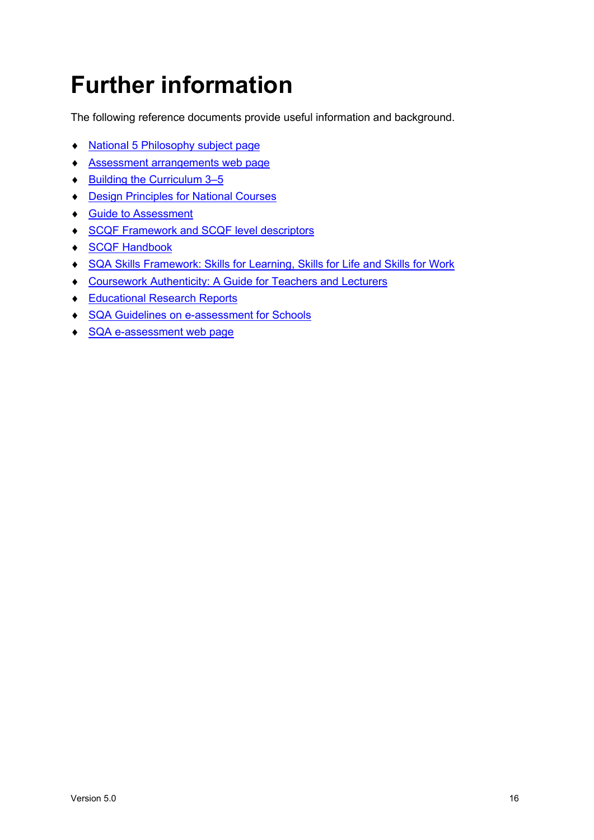# <span id="page-17-0"></span>**Further information**

The following reference documents provide useful information and background.

- ♦ [National 5 Philosophy](http://www.sqa.org.uk/sqa/45748.html) subject page
- ♦ [Assessment arrangements web page](http://www.sqa.org.uk/assessmentarrangements)
- ♦ [Building the Curriculum 3–5](https://www.education.gov.scot/scottish-education-system/policy-for-scottish-education/policy-drivers/cfe-%28building-from-the-statement-appendix-incl-btc1-5%29/Building%20the%20Curriculum)
- ♦ [Design Principles for National Courses](http://www.sqa.org.uk/sqa/68409.html)
- ♦ [Guide to Assessment](http://www.sqa.org.uk/sqa/2424.html)
- ♦ SCQF Framework [and SCQF level descriptors](http://scqf.org.uk/the-framework/scqf-levels/)
- ♦ [SCQF Handbook](http://scqf.org.uk/new-scqf-handbook/)
- ♦ [SQA Skills Framework: Skills for Learning, Skills for Life and Skills for Work](http://www.sqa.org.uk/sqa/63101.html)
- ♦ [Coursework Authenticity: A Guide for Teachers and Lecturers](http://www.sqa.org.uk/sqa/1418.html)
- ♦ [Educational Research Reports](http://www.sqa.org.uk/sqa/35847.958.html)
- ♦ [SQA Guidelines on e-assessment for Schools](http://www.sqa.org.uk/sqa/2424.html)
- ♦ [SQA e-assessment web page](http://www.sqa.org.uk/sqa/68750.html)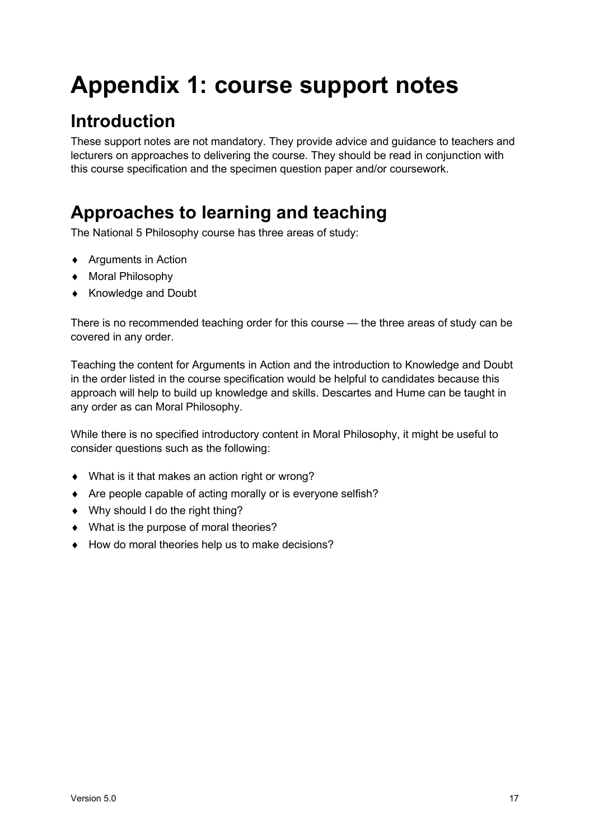# <span id="page-18-0"></span>**Appendix 1: course support notes**

# **Introduction**

These support notes are not mandatory. They provide advice and guidance to teachers and lecturers on approaches to delivering the course. They should be read in conjunction with this course specification and the specimen question paper and/or coursework.

# <span id="page-18-1"></span>**Approaches to learning and teaching**

The National 5 Philosophy course has three areas of study:

- ♦ Arguments in Action
- ♦ Moral Philosophy
- ♦ Knowledge and Doubt

There is no recommended teaching order for this course — the three areas of study can be covered in any order.

Teaching the content for Arguments in Action and the introduction to Knowledge and Doubt in the order listed in the course specification would be helpful to candidates because this approach will help to build up knowledge and skills. Descartes and Hume can be taught in any order as can Moral Philosophy.

While there is no specified introductory content in Moral Philosophy, it might be useful to consider questions such as the following:

- ♦ What is it that makes an action right or wrong?
- ♦ Are people capable of acting morally or is everyone selfish?
- ♦ Why should I do the right thing?
- ♦ What is the purpose of moral theories?
- ♦ How do moral theories help us to make decisions?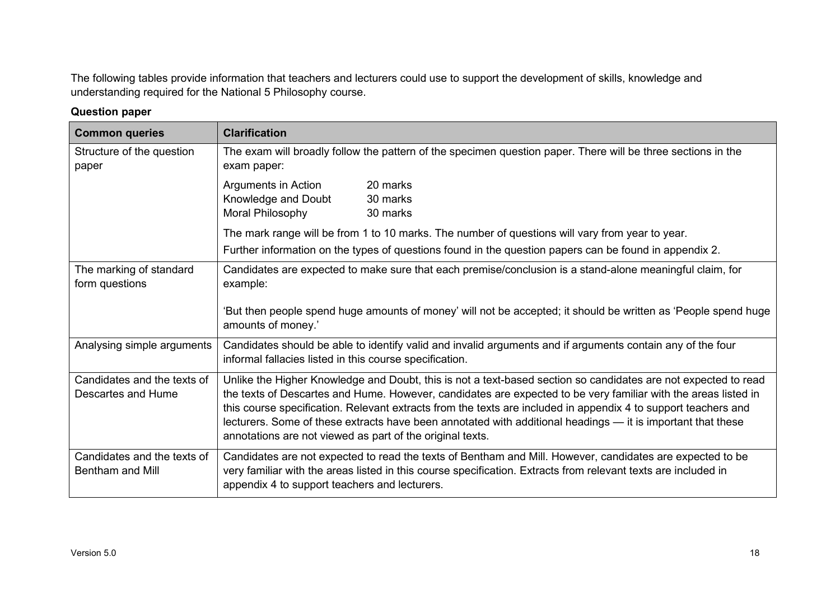The following tables provide information that teachers and lecturers could use to support the development of skills, knowledge and understanding required for the National 5 Philosophy course.

#### **Question paper**

| <b>Common queries</b>                                  | <b>Clarification</b>                                                                                                                                                                                                                                                                                                                                                                                                                                                                                                           |  |  |
|--------------------------------------------------------|--------------------------------------------------------------------------------------------------------------------------------------------------------------------------------------------------------------------------------------------------------------------------------------------------------------------------------------------------------------------------------------------------------------------------------------------------------------------------------------------------------------------------------|--|--|
| Structure of the question<br>paper                     | The exam will broadly follow the pattern of the specimen question paper. There will be three sections in the<br>exam paper:                                                                                                                                                                                                                                                                                                                                                                                                    |  |  |
|                                                        | 20 marks<br>Arguments in Action<br>Knowledge and Doubt<br>30 marks<br>Moral Philosophy<br>30 marks                                                                                                                                                                                                                                                                                                                                                                                                                             |  |  |
|                                                        | The mark range will be from 1 to 10 marks. The number of questions will vary from year to year.                                                                                                                                                                                                                                                                                                                                                                                                                                |  |  |
|                                                        | Further information on the types of questions found in the question papers can be found in appendix 2.                                                                                                                                                                                                                                                                                                                                                                                                                         |  |  |
| The marking of standard<br>form questions              | Candidates are expected to make sure that each premise/conclusion is a stand-alone meaningful claim, for<br>example:                                                                                                                                                                                                                                                                                                                                                                                                           |  |  |
|                                                        | 'But then people spend huge amounts of money' will not be accepted; it should be written as 'People spend huge<br>amounts of money.'                                                                                                                                                                                                                                                                                                                                                                                           |  |  |
| Analysing simple arguments                             | Candidates should be able to identify valid and invalid arguments and if arguments contain any of the four<br>informal fallacies listed in this course specification.                                                                                                                                                                                                                                                                                                                                                          |  |  |
| Candidates and the texts of<br>Descartes and Hume      | Unlike the Higher Knowledge and Doubt, this is not a text-based section so candidates are not expected to read<br>the texts of Descartes and Hume. However, candidates are expected to be very familiar with the areas listed in<br>this course specification. Relevant extracts from the texts are included in appendix 4 to support teachers and<br>lecturers. Some of these extracts have been annotated with additional headings — it is important that these<br>annotations are not viewed as part of the original texts. |  |  |
| Candidates and the texts of<br><b>Bentham and Mill</b> | Candidates are not expected to read the texts of Bentham and Mill. However, candidates are expected to be<br>very familiar with the areas listed in this course specification. Extracts from relevant texts are included in<br>appendix 4 to support teachers and lecturers.                                                                                                                                                                                                                                                   |  |  |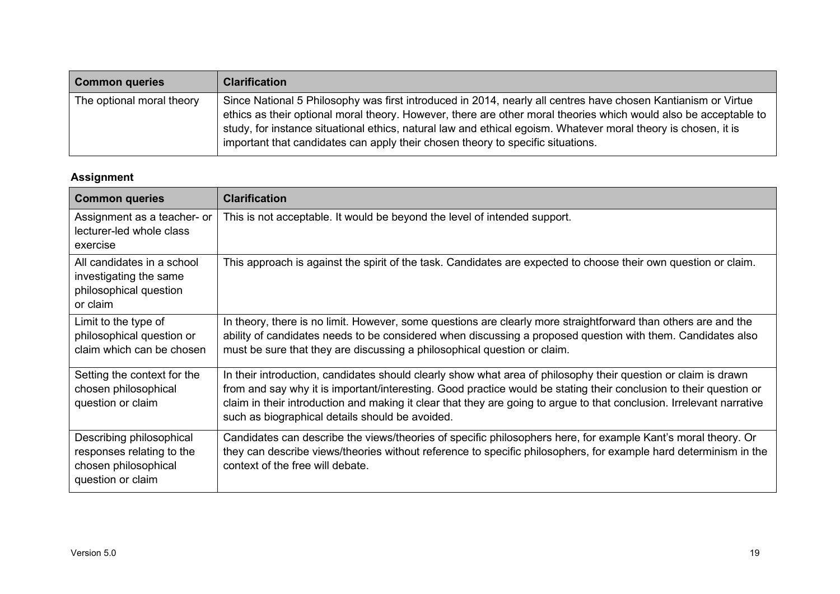| <b>Common queries</b>     | <b>Clarification</b>                                                                                                                                                                                                                                                                                                                                                                                                                   |
|---------------------------|----------------------------------------------------------------------------------------------------------------------------------------------------------------------------------------------------------------------------------------------------------------------------------------------------------------------------------------------------------------------------------------------------------------------------------------|
| The optional moral theory | Since National 5 Philosophy was first introduced in 2014, nearly all centres have chosen Kantianism or Virtue<br>ethics as their optional moral theory. However, there are other moral theories which would also be acceptable to<br>study, for instance situational ethics, natural law and ethical egoism. Whatever moral theory is chosen, it is<br>important that candidates can apply their chosen theory to specific situations. |

#### **Assignment**

| <b>Common queries</b>                                                                              | <b>Clarification</b>                                                                                                                                                                                                                                                                                                                                                                                             |
|----------------------------------------------------------------------------------------------------|------------------------------------------------------------------------------------------------------------------------------------------------------------------------------------------------------------------------------------------------------------------------------------------------------------------------------------------------------------------------------------------------------------------|
| Assignment as a teacher- or<br>lecturer-led whole class<br>exercise                                | This is not acceptable. It would be beyond the level of intended support.                                                                                                                                                                                                                                                                                                                                        |
| All candidates in a school<br>investigating the same<br>philosophical question<br>or claim         | This approach is against the spirit of the task. Candidates are expected to choose their own question or claim.                                                                                                                                                                                                                                                                                                  |
| Limit to the type of<br>philosophical question or<br>claim which can be chosen                     | In theory, there is no limit. However, some questions are clearly more straightforward than others are and the<br>ability of candidates needs to be considered when discussing a proposed question with them. Candidates also<br>must be sure that they are discussing a philosophical question or claim.                                                                                                        |
| Setting the context for the<br>chosen philosophical<br>question or claim                           | In their introduction, candidates should clearly show what area of philosophy their question or claim is drawn<br>from and say why it is important/interesting. Good practice would be stating their conclusion to their question or<br>claim in their introduction and making it clear that they are going to argue to that conclusion. Irrelevant narrative<br>such as biographical details should be avoided. |
| Describing philosophical<br>responses relating to the<br>chosen philosophical<br>question or claim | Candidates can describe the views/theories of specific philosophers here, for example Kant's moral theory. Or<br>they can describe views/theories without reference to specific philosophers, for example hard determinism in the<br>context of the free will debate.                                                                                                                                            |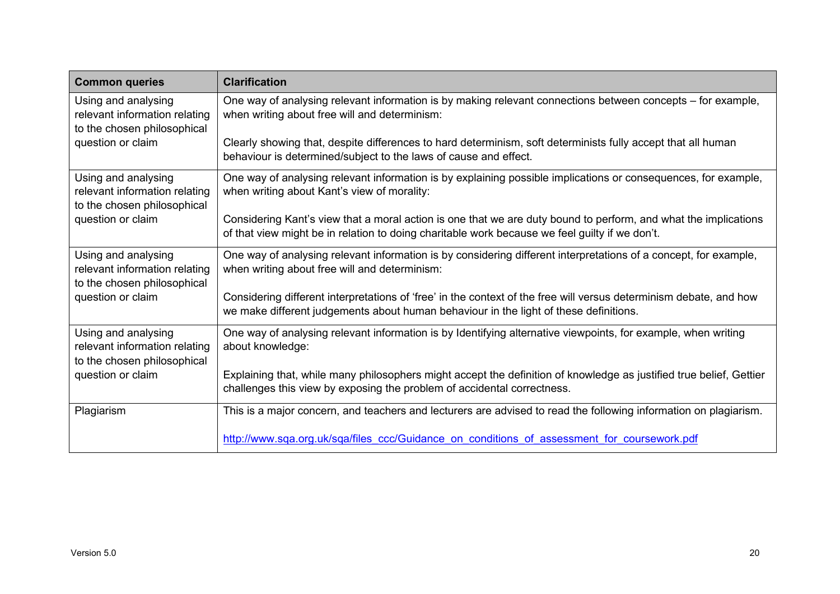| <b>Common queries</b>                                                               | <b>Clarification</b>                                                                                                                                                                                              |
|-------------------------------------------------------------------------------------|-------------------------------------------------------------------------------------------------------------------------------------------------------------------------------------------------------------------|
| Using and analysing<br>relevant information relating<br>to the chosen philosophical | One way of analysing relevant information is by making relevant connections between concepts – for example,<br>when writing about free will and determinism:                                                      |
| question or claim                                                                   | Clearly showing that, despite differences to hard determinism, soft determinists fully accept that all human<br>behaviour is determined/subject to the laws of cause and effect.                                  |
| Using and analysing<br>relevant information relating<br>to the chosen philosophical | One way of analysing relevant information is by explaining possible implications or consequences, for example,<br>when writing about Kant's view of morality:                                                     |
| question or claim                                                                   | Considering Kant's view that a moral action is one that we are duty bound to perform, and what the implications<br>of that view might be in relation to doing charitable work because we feel guilty if we don't. |
| Using and analysing<br>relevant information relating<br>to the chosen philosophical | One way of analysing relevant information is by considering different interpretations of a concept, for example,<br>when writing about free will and determinism:                                                 |
| question or claim                                                                   | Considering different interpretations of 'free' in the context of the free will versus determinism debate, and how<br>we make different judgements about human behaviour in the light of these definitions.       |
| Using and analysing<br>relevant information relating<br>to the chosen philosophical | One way of analysing relevant information is by Identifying alternative viewpoints, for example, when writing<br>about knowledge:                                                                                 |
| question or claim                                                                   | Explaining that, while many philosophers might accept the definition of knowledge as justified true belief, Gettier<br>challenges this view by exposing the problem of accidental correctness.                    |
| Plagiarism                                                                          | This is a major concern, and teachers and lecturers are advised to read the following information on plagiarism.                                                                                                  |
|                                                                                     | http://www.sqa.org.uk/sqa/files_ccc/Guidance_on_conditions_of_assessment_for_coursework.pdf                                                                                                                       |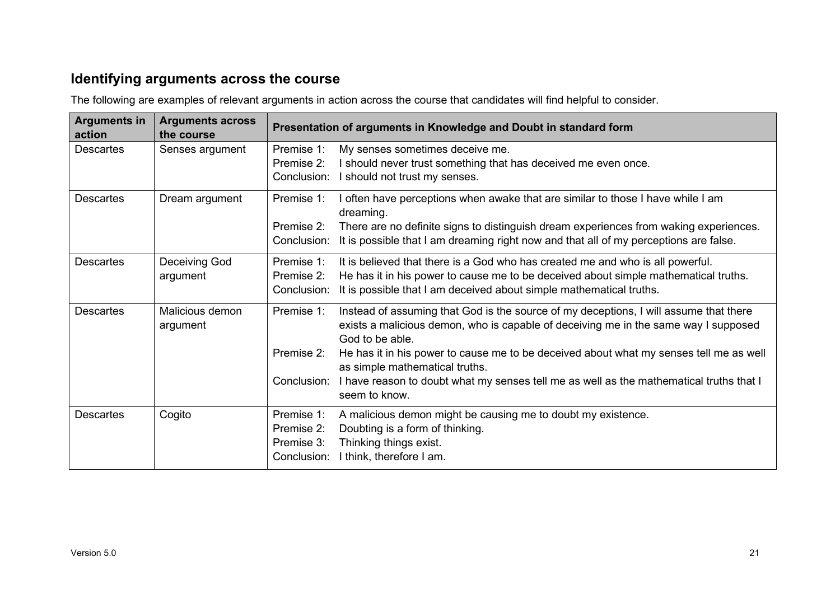## **Identifying arguments across the course**

The following are examples of relevant arguments in action across the course that candidates will find helpful to consider.

| <b>Arguments in</b><br>action | <b>Arguments across</b><br>the course | Presentation of arguments in Knowledge and Doubt in standard form                                                                                                                                                                                                                       |  |
|-------------------------------|---------------------------------------|-----------------------------------------------------------------------------------------------------------------------------------------------------------------------------------------------------------------------------------------------------------------------------------------|--|
| <b>Descartes</b>              | Senses argument                       | My senses sometimes deceive me.<br>Premise 1:<br>I should never trust something that has deceived me even once.<br>Premise 2:<br>I should not trust my senses.<br>Conclusion:                                                                                                           |  |
| <b>Descartes</b>              | Dream argument                        | Premise 1:<br>I often have perceptions when awake that are similar to those I have while I am<br>dreaming.                                                                                                                                                                              |  |
|                               |                                       | Premise 2:<br>There are no definite signs to distinguish dream experiences from waking experiences.<br>It is possible that I am dreaming right now and that all of my perceptions are false.<br>Conclusion:                                                                             |  |
| <b>Descartes</b>              | Deceiving God<br>argument             | Premise 1:<br>It is believed that there is a God who has created me and who is all powerful.<br>He has it in his power to cause me to be deceived about simple mathematical truths.<br>Premise 2:<br>It is possible that I am deceived about simple mathematical truths.<br>Conclusion: |  |
| <b>Descartes</b>              | Malicious demon<br>argument           | Premise 1:<br>Instead of assuming that God is the source of my deceptions, I will assume that there<br>exists a malicious demon, who is capable of deceiving me in the same way I supposed<br>God to be able.                                                                           |  |
|                               |                                       | Premise 2:<br>He has it in his power to cause me to be deceived about what my senses tell me as well<br>as simple mathematical truths.                                                                                                                                                  |  |
|                               |                                       | I have reason to doubt what my senses tell me as well as the mathematical truths that I<br>Conclusion:<br>seem to know.                                                                                                                                                                 |  |
| <b>Descartes</b>              | Cogito                                | Premise 1:<br>A malicious demon might be causing me to doubt my existence.<br>Doubting is a form of thinking.<br>Premise 2:<br>Thinking things exist.<br>Premise 3:<br>I think, therefore I am.<br>Conclusion:                                                                          |  |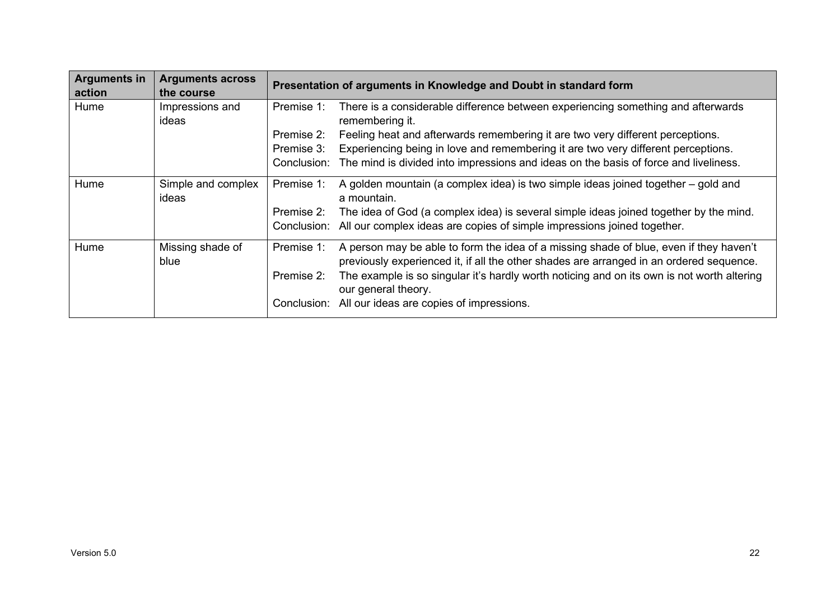| <b>Arguments in</b><br>action | <b>Arguments across</b><br>the course | Presentation of arguments in Knowledge and Doubt in standard form |                                                                                                                                                                                   |
|-------------------------------|---------------------------------------|-------------------------------------------------------------------|-----------------------------------------------------------------------------------------------------------------------------------------------------------------------------------|
| Hume                          | Impressions and<br>ideas              | Premise 1:                                                        | There is a considerable difference between experiencing something and afterwards<br>remembering it.                                                                               |
|                               |                                       | Premise 2:                                                        | Feeling heat and afterwards remembering it are two very different perceptions.                                                                                                    |
|                               |                                       | Premise 3:                                                        | Experiencing being in love and remembering it are two very different perceptions.                                                                                                 |
|                               |                                       | Conclusion:                                                       | The mind is divided into impressions and ideas on the basis of force and liveliness.                                                                                              |
| Hume                          | Simple and complex<br>ideas           | Premise 1:                                                        | A golden mountain (a complex idea) is two simple ideas joined together – gold and<br>a mountain.                                                                                  |
|                               |                                       | Premise 2:                                                        | The idea of God (a complex idea) is several simple ideas joined together by the mind.                                                                                             |
|                               |                                       | Conclusion:                                                       | All our complex ideas are copies of simple impressions joined together.                                                                                                           |
| Hume                          | Missing shade of<br>blue              | Premise 1:                                                        | A person may be able to form the idea of a missing shade of blue, even if they haven't<br>previously experienced it, if all the other shades are arranged in an ordered sequence. |
|                               |                                       | Premise 2:                                                        | The example is so singular it's hardly worth noticing and on its own is not worth altering<br>our general theory.                                                                 |
|                               |                                       | Conclusion:                                                       | All our ideas are copies of impressions.                                                                                                                                          |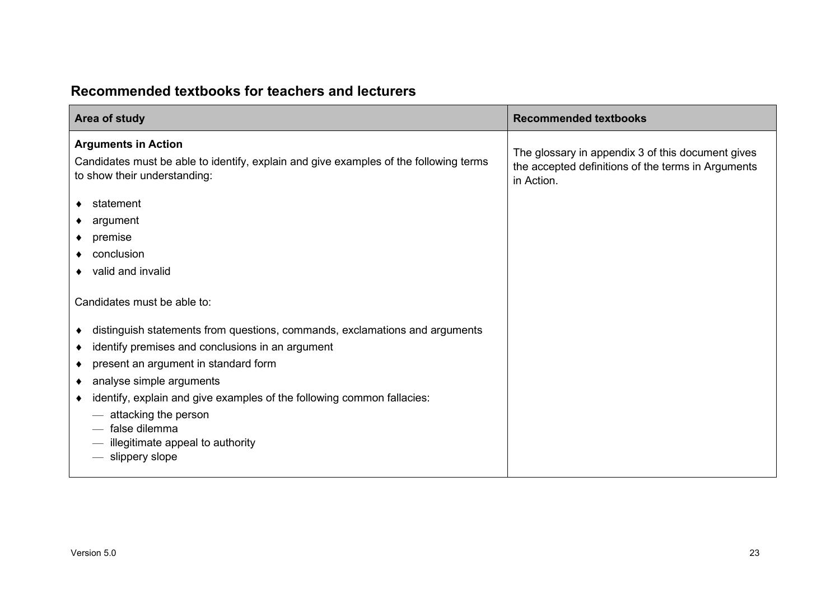## **Recommended textbooks for teachers and lecturers**

| Area of study                                                                                                                                                                                                                                                                                                                                                                                        | <b>Recommended textbooks</b>                                                                                          |
|------------------------------------------------------------------------------------------------------------------------------------------------------------------------------------------------------------------------------------------------------------------------------------------------------------------------------------------------------------------------------------------------------|-----------------------------------------------------------------------------------------------------------------------|
| <b>Arguments in Action</b><br>Candidates must be able to identify, explain and give examples of the following terms<br>to show their understanding:                                                                                                                                                                                                                                                  | The glossary in appendix 3 of this document gives<br>the accepted definitions of the terms in Arguments<br>in Action. |
| statement<br>argument<br>premise<br>conclusion<br>valid and invalid                                                                                                                                                                                                                                                                                                                                  |                                                                                                                       |
| Candidates must be able to:                                                                                                                                                                                                                                                                                                                                                                          |                                                                                                                       |
| distinguish statements from questions, commands, exclamations and arguments<br>٠<br>identify premises and conclusions in an argument<br>٠<br>present an argument in standard form<br>٠<br>analyse simple arguments<br>٠<br>identify, explain and give examples of the following common fallacies:<br>$-$ attacking the person<br>false dilemma<br>illegitimate appeal to authority<br>slippery slope |                                                                                                                       |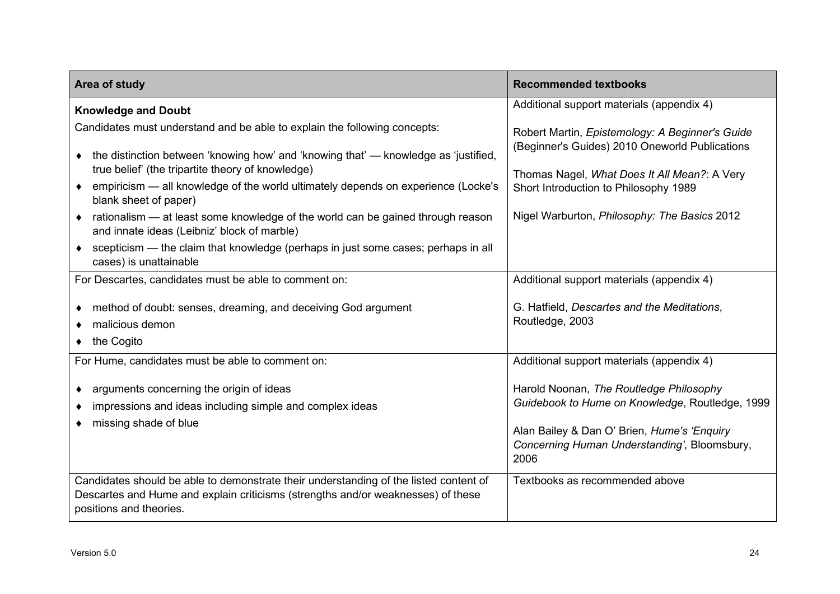|                             | Area of study                                                                                                                                                                                        | <b>Recommended textbooks</b>                                                                                                                                                                      |
|-----------------------------|------------------------------------------------------------------------------------------------------------------------------------------------------------------------------------------------------|---------------------------------------------------------------------------------------------------------------------------------------------------------------------------------------------------|
|                             | <b>Knowledge and Doubt</b>                                                                                                                                                                           | Additional support materials (appendix 4)                                                                                                                                                         |
|                             | Candidates must understand and be able to explain the following concepts:                                                                                                                            | Robert Martin, Epistemology: A Beginner's Guide<br>(Beginner's Guides) 2010 Oneworld Publications                                                                                                 |
| $\bullet$                   | the distinction between 'knowing how' and 'knowing that' — knowledge as 'justified,<br>true belief' (the tripartite theory of knowledge)                                                             | Thomas Nagel, What Does It All Mean?: A Very                                                                                                                                                      |
| ٠                           | empiricism - all knowledge of the world ultimately depends on experience (Locke's<br>blank sheet of paper)                                                                                           | Short Introduction to Philosophy 1989                                                                                                                                                             |
| $\bullet$                   | rationalism — at least some knowledge of the world can be gained through reason<br>and innate ideas (Leibniz' block of marble)                                                                       | Nigel Warburton, Philosophy: The Basics 2012                                                                                                                                                      |
| $\bullet$                   | scepticism — the claim that knowledge (perhaps in just some cases; perhaps in all<br>cases) is unattainable                                                                                          |                                                                                                                                                                                                   |
|                             | For Descartes, candidates must be able to comment on:                                                                                                                                                | Additional support materials (appendix 4)                                                                                                                                                         |
| $\bullet$<br>$\bullet$<br>٠ | method of doubt: senses, dreaming, and deceiving God argument<br>malicious demon<br>the Cogito                                                                                                       | G. Hatfield, Descartes and the Meditations,<br>Routledge, 2003                                                                                                                                    |
|                             | For Hume, candidates must be able to comment on:                                                                                                                                                     | Additional support materials (appendix 4)                                                                                                                                                         |
| ٠<br>٠<br>٠                 | arguments concerning the origin of ideas<br>impressions and ideas including simple and complex ideas<br>missing shade of blue                                                                        | Harold Noonan, The Routledge Philosophy<br>Guidebook to Hume on Knowledge, Routledge, 1999<br>Alan Bailey & Dan O' Brien, Hume's 'Enquiry<br>Concerning Human Understanding', Bloomsbury,<br>2006 |
|                             | Candidates should be able to demonstrate their understanding of the listed content of<br>Descartes and Hume and explain criticisms (strengths and/or weaknesses) of these<br>positions and theories. | Textbooks as recommended above                                                                                                                                                                    |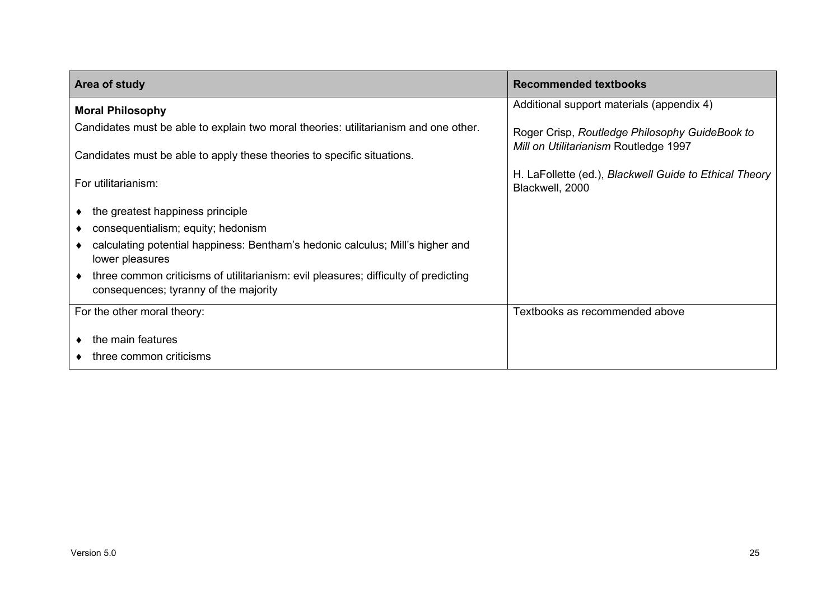| Area of study                                                                                                                | <b>Recommended textbooks</b>                                              |
|------------------------------------------------------------------------------------------------------------------------------|---------------------------------------------------------------------------|
| <b>Moral Philosophy</b>                                                                                                      | Additional support materials (appendix 4)                                 |
| Candidates must be able to explain two moral theories: utilitarianism and one other.                                         | Roger Crisp, Routledge Philosophy GuideBook to                            |
| Candidates must be able to apply these theories to specific situations.                                                      | Mill on Utilitarianism Routledge 1997                                     |
| For utilitarianism:                                                                                                          | H. LaFollette (ed.), Blackwell Guide to Ethical Theory<br>Blackwell, 2000 |
| the greatest happiness principle                                                                                             |                                                                           |
| consequentialism; equity; hedonism                                                                                           |                                                                           |
| calculating potential happiness: Bentham's hedonic calculus; Mill's higher and<br>lower pleasures                            |                                                                           |
| three common criticisms of utilitarianism: evil pleasures; difficulty of predicting<br>consequences; tyranny of the majority |                                                                           |
| For the other moral theory:                                                                                                  | Textbooks as recommended above                                            |
| the main features                                                                                                            |                                                                           |
| three common criticisms                                                                                                      |                                                                           |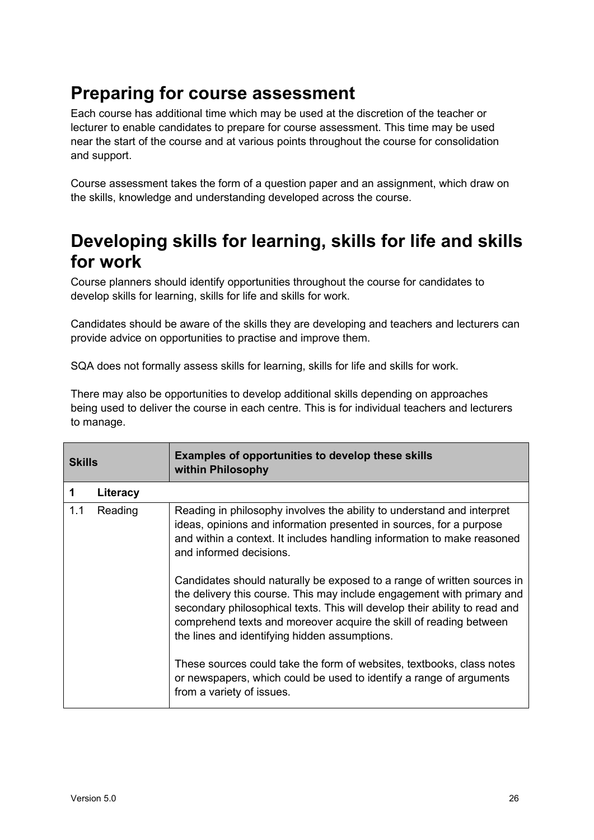# <span id="page-27-0"></span>**Preparing for course assessment**

Each course has additional time which may be used at the discretion of the teacher or lecturer to enable candidates to prepare for course assessment. This time may be used near the start of the course and at various points throughout the course for consolidation and support.

Course assessment takes the form of a question paper and an assignment, which draw on the skills, knowledge and understanding developed across the course.

# <span id="page-27-1"></span>**Developing skills for learning, skills for life and skills for work**

Course planners should identify opportunities throughout the course for candidates to develop skills for learning, skills for life and skills for work.

Candidates should be aware of the skills they are developing and teachers and lecturers can provide advice on opportunities to practise and improve them.

SQA does not formally assess skills for learning, skills for life and skills for work.

There may also be opportunities to develop additional skills depending on approaches being used to deliver the course in each centre. This is for individual teachers and lecturers to manage.

| <b>Skills</b>  |          | Examples of opportunities to develop these skills<br>within Philosophy                                                                                                                                                                                                                                                                                 |  |  |
|----------------|----------|--------------------------------------------------------------------------------------------------------------------------------------------------------------------------------------------------------------------------------------------------------------------------------------------------------------------------------------------------------|--|--|
| 1              | Literacy |                                                                                                                                                                                                                                                                                                                                                        |  |  |
| 1.1<br>Reading |          | Reading in philosophy involves the ability to understand and interpret<br>ideas, opinions and information presented in sources, for a purpose<br>and within a context. It includes handling information to make reasoned<br>and informed decisions.                                                                                                    |  |  |
|                |          | Candidates should naturally be exposed to a range of written sources in<br>the delivery this course. This may include engagement with primary and<br>secondary philosophical texts. This will develop their ability to read and<br>comprehend texts and moreover acquire the skill of reading between<br>the lines and identifying hidden assumptions. |  |  |
|                |          | These sources could take the form of websites, textbooks, class notes<br>or newspapers, which could be used to identify a range of arguments<br>from a variety of issues.                                                                                                                                                                              |  |  |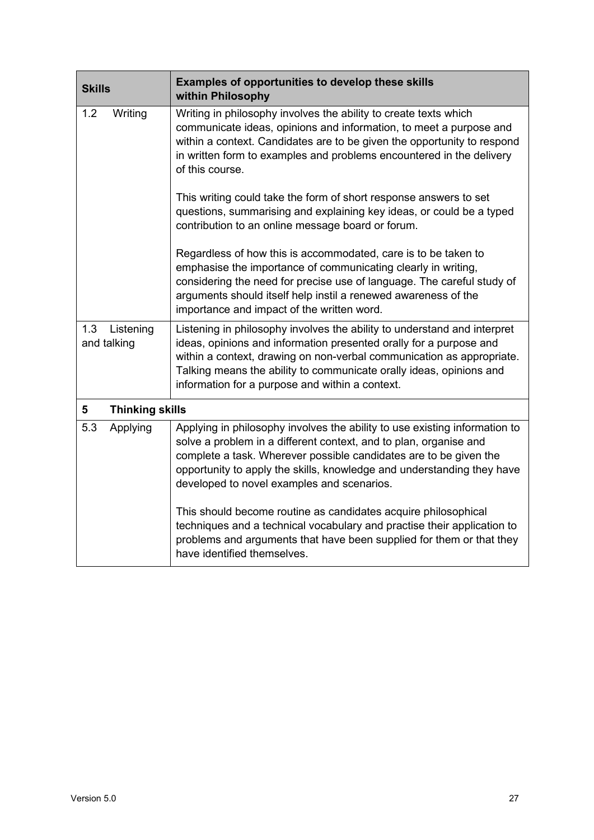| <b>Skills</b>                   | Examples of opportunities to develop these skills<br>within Philosophy                                                                                                                                                                                                                                                                                                                                         |  |  |
|---------------------------------|----------------------------------------------------------------------------------------------------------------------------------------------------------------------------------------------------------------------------------------------------------------------------------------------------------------------------------------------------------------------------------------------------------------|--|--|
| 1.2<br>Writing                  | Writing in philosophy involves the ability to create texts which<br>communicate ideas, opinions and information, to meet a purpose and<br>within a context. Candidates are to be given the opportunity to respond<br>in written form to examples and problems encountered in the delivery<br>of this course.                                                                                                   |  |  |
|                                 | This writing could take the form of short response answers to set<br>questions, summarising and explaining key ideas, or could be a typed<br>contribution to an online message board or forum.                                                                                                                                                                                                                 |  |  |
|                                 | Regardless of how this is accommodated, care is to be taken to<br>emphasise the importance of communicating clearly in writing,<br>considering the need for precise use of language. The careful study of<br>arguments should itself help instil a renewed awareness of the<br>importance and impact of the written word.                                                                                      |  |  |
| 1.3<br>Listening<br>and talking | Listening in philosophy involves the ability to understand and interpret<br>ideas, opinions and information presented orally for a purpose and<br>within a context, drawing on non-verbal communication as appropriate.<br>Talking means the ability to communicate orally ideas, opinions and<br>information for a purpose and within a context.                                                              |  |  |
| <b>Thinking skills</b><br>5     |                                                                                                                                                                                                                                                                                                                                                                                                                |  |  |
| 5.3<br>Applying                 | Applying in philosophy involves the ability to use existing information to<br>solve a problem in a different context, and to plan, organise and<br>complete a task. Wherever possible candidates are to be given the<br>opportunity to apply the skills, knowledge and understanding they have<br>developed to novel examples and scenarios.<br>This should become routine as candidates acquire philosophical |  |  |
|                                 | techniques and a technical vocabulary and practise their application to<br>problems and arguments that have been supplied for them or that they<br>have identified themselves.                                                                                                                                                                                                                                 |  |  |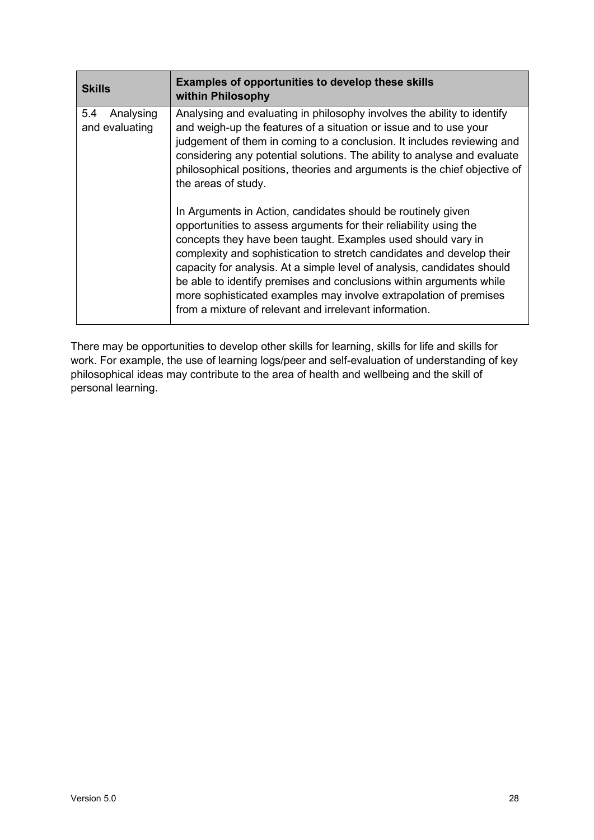| <b>Skills</b>                      | <b>Examples of opportunities to develop these skills</b><br>within Philosophy                                                                                                                                                                                                                                                                                                                                                                                                                                                                                                                                                                                                                                                                                                                                                                                                                                                                                         |
|------------------------------------|-----------------------------------------------------------------------------------------------------------------------------------------------------------------------------------------------------------------------------------------------------------------------------------------------------------------------------------------------------------------------------------------------------------------------------------------------------------------------------------------------------------------------------------------------------------------------------------------------------------------------------------------------------------------------------------------------------------------------------------------------------------------------------------------------------------------------------------------------------------------------------------------------------------------------------------------------------------------------|
| Analysing<br>5.4<br>and evaluating | Analysing and evaluating in philosophy involves the ability to identify<br>and weigh-up the features of a situation or issue and to use your<br>judgement of them in coming to a conclusion. It includes reviewing and<br>considering any potential solutions. The ability to analyse and evaluate<br>philosophical positions, theories and arguments is the chief objective of<br>the areas of study.<br>In Arguments in Action, candidates should be routinely given<br>opportunities to assess arguments for their reliability using the<br>concepts they have been taught. Examples used should vary in<br>complexity and sophistication to stretch candidates and develop their<br>capacity for analysis. At a simple level of analysis, candidates should<br>be able to identify premises and conclusions within arguments while<br>more sophisticated examples may involve extrapolation of premises<br>from a mixture of relevant and irrelevant information. |

There may be opportunities to develop other skills for learning, skills for life and skills for work. For example, the use of learning logs/peer and self-evaluation of understanding of key philosophical ideas may contribute to the area of health and wellbeing and the skill of personal learning.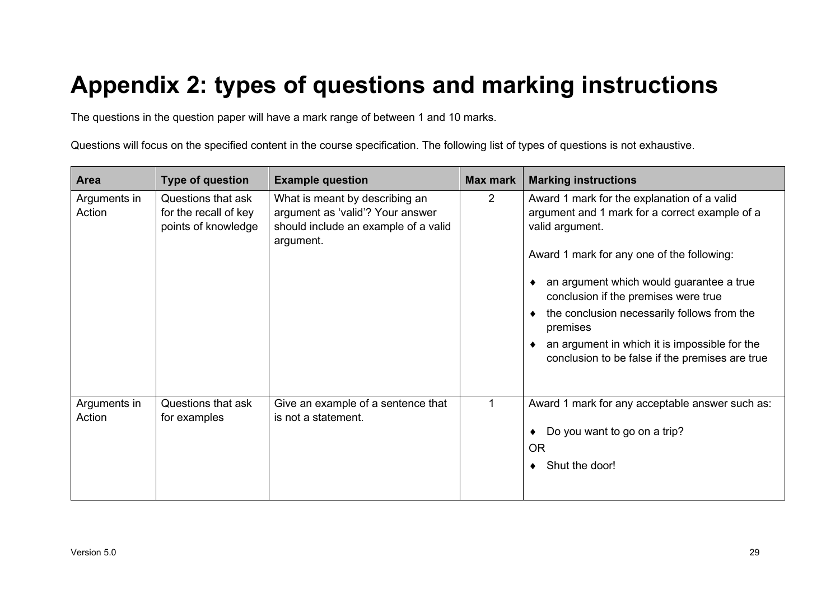# **Appendix 2: types of questions and marking instructions**

The questions in the question paper will have a mark range of between 1 and 10 marks.

Questions will focus on the specified content in the course specification. The following list of types of questions is not exhaustive.

<span id="page-30-0"></span>

| <b>Area</b>            | Type of question                                                   | <b>Example question</b>                                                                                                 | <b>Max mark</b> | <b>Marking instructions</b>                                                                                                                                                                                                                                                                                                                                                                                       |
|------------------------|--------------------------------------------------------------------|-------------------------------------------------------------------------------------------------------------------------|-----------------|-------------------------------------------------------------------------------------------------------------------------------------------------------------------------------------------------------------------------------------------------------------------------------------------------------------------------------------------------------------------------------------------------------------------|
| Arguments in<br>Action | Questions that ask<br>for the recall of key<br>points of knowledge | What is meant by describing an<br>argument as 'valid'? Your answer<br>should include an example of a valid<br>argument. | $\overline{2}$  | Award 1 mark for the explanation of a valid<br>argument and 1 mark for a correct example of a<br>valid argument.<br>Award 1 mark for any one of the following:<br>an argument which would guarantee a true<br>conclusion if the premises were true<br>the conclusion necessarily follows from the<br>premises<br>an argument in which it is impossible for the<br>conclusion to be false if the premises are true |
| Arguments in<br>Action | Questions that ask<br>for examples                                 | Give an example of a sentence that<br>is not a statement.                                                               |                 | Award 1 mark for any acceptable answer such as:<br>Do you want to go on a trip?<br><b>OR</b><br>Shut the door!                                                                                                                                                                                                                                                                                                    |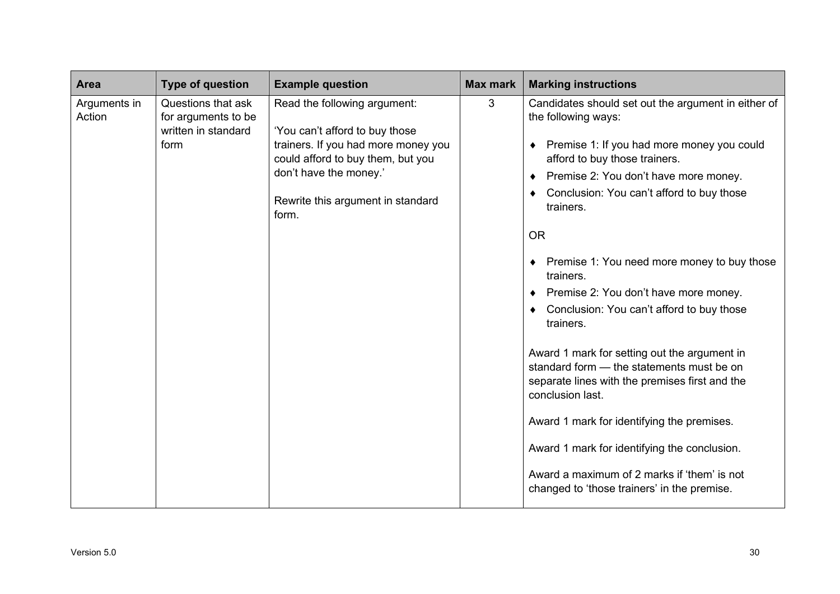| <b>Area</b>            | <b>Type of question</b>                                                  | <b>Example question</b>                                                                                                                                                                                            | <b>Max mark</b> | <b>Marking instructions</b>                                                                                                                                                                                                                                                                                                                                                                                                                                                                                                                                                                                                                                                                                                                                                                                       |
|------------------------|--------------------------------------------------------------------------|--------------------------------------------------------------------------------------------------------------------------------------------------------------------------------------------------------------------|-----------------|-------------------------------------------------------------------------------------------------------------------------------------------------------------------------------------------------------------------------------------------------------------------------------------------------------------------------------------------------------------------------------------------------------------------------------------------------------------------------------------------------------------------------------------------------------------------------------------------------------------------------------------------------------------------------------------------------------------------------------------------------------------------------------------------------------------------|
| Arguments in<br>Action | Questions that ask<br>for arguments to be<br>written in standard<br>form | Read the following argument:<br>'You can't afford to buy those<br>trainers. If you had more money you<br>could afford to buy them, but you<br>don't have the money.'<br>Rewrite this argument in standard<br>form. | 3               | Candidates should set out the argument in either of<br>the following ways:<br>Premise 1: If you had more money you could<br>afford to buy those trainers.<br>Premise 2: You don't have more money.<br>Conclusion: You can't afford to buy those<br>٠<br>trainers.<br><b>OR</b><br>Premise 1: You need more money to buy those<br>trainers.<br>Premise 2: You don't have more money.<br>Conclusion: You can't afford to buy those<br>٠<br>trainers.<br>Award 1 mark for setting out the argument in<br>standard form - the statements must be on<br>separate lines with the premises first and the<br>conclusion last.<br>Award 1 mark for identifying the premises.<br>Award 1 mark for identifying the conclusion.<br>Award a maximum of 2 marks if 'them' is not<br>changed to 'those trainers' in the premise. |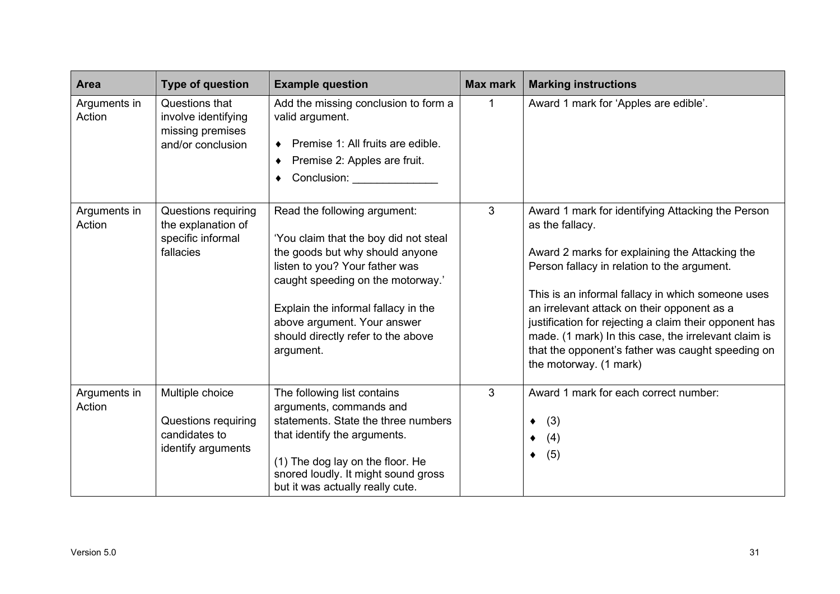| <b>Area</b>            | <b>Type of question</b>                                                              | <b>Example question</b>                                                                                                                                                                                                                                                                                  | <b>Max mark</b> | <b>Marking instructions</b>                                                                                                                                                                                                                                                                                                                                                                                                                                                |
|------------------------|--------------------------------------------------------------------------------------|----------------------------------------------------------------------------------------------------------------------------------------------------------------------------------------------------------------------------------------------------------------------------------------------------------|-----------------|----------------------------------------------------------------------------------------------------------------------------------------------------------------------------------------------------------------------------------------------------------------------------------------------------------------------------------------------------------------------------------------------------------------------------------------------------------------------------|
| Arguments in<br>Action | Questions that<br>involve identifying<br>missing premises<br>and/or conclusion       | Add the missing conclusion to form a<br>valid argument.<br>Premise 1: All fruits are edible.<br>Premise 2: Apples are fruit.<br><b>Conclusion: Conclusion:</b><br>$\bullet$                                                                                                                              | $\mathbf{1}$    | Award 1 mark for 'Apples are edible'.                                                                                                                                                                                                                                                                                                                                                                                                                                      |
| Arguments in<br>Action | Questions requiring<br>the explanation of<br>specific informal<br>fallacies          | Read the following argument:<br>'You claim that the boy did not steal<br>the goods but why should anyone<br>listen to you? Your father was<br>caught speeding on the motorway.'<br>Explain the informal fallacy in the<br>above argument. Your answer<br>should directly refer to the above<br>argument. | 3               | Award 1 mark for identifying Attacking the Person<br>as the fallacy.<br>Award 2 marks for explaining the Attacking the<br>Person fallacy in relation to the argument.<br>This is an informal fallacy in which someone uses<br>an irrelevant attack on their opponent as a<br>justification for rejecting a claim their opponent has<br>made. (1 mark) In this case, the irrelevant claim is<br>that the opponent's father was caught speeding on<br>the motorway. (1 mark) |
| Arguments in<br>Action | Multiple choice<br><b>Questions requiring</b><br>candidates to<br>identify arguments | The following list contains<br>arguments, commands and<br>statements. State the three numbers<br>that identify the arguments.<br>(1) The dog lay on the floor. He<br>snored loudly. It might sound gross<br>but it was actually really cute.                                                             | 3               | Award 1 mark for each correct number:<br>(3)<br>٠<br>(4)<br>(5)<br>٠                                                                                                                                                                                                                                                                                                                                                                                                       |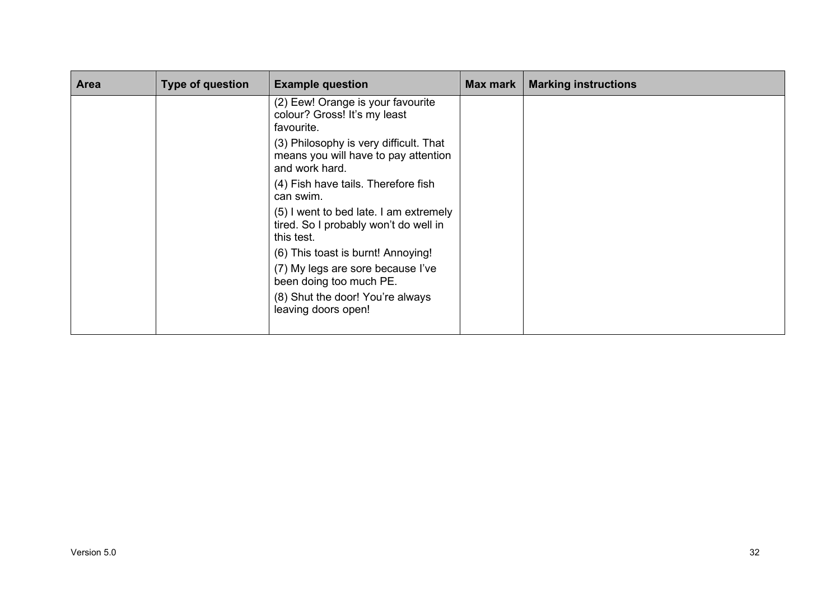| <b>Area</b> | Type of question | <b>Example question</b>                                                                          | Max mark | <b>Marking instructions</b> |
|-------------|------------------|--------------------------------------------------------------------------------------------------|----------|-----------------------------|
|             |                  | (2) Eew! Orange is your favourite<br>colour? Gross! It's my least<br>favourite.                  |          |                             |
|             |                  | (3) Philosophy is very difficult. That<br>means you will have to pay attention<br>and work hard. |          |                             |
|             |                  | (4) Fish have tails. Therefore fish<br>can swim.                                                 |          |                             |
|             |                  | (5) I went to bed late. I am extremely<br>tired. So I probably won't do well in<br>this test.    |          |                             |
|             |                  | (6) This toast is burnt! Annoying!                                                               |          |                             |
|             |                  | (7) My legs are sore because I've<br>been doing too much PE.                                     |          |                             |
|             |                  | (8) Shut the door! You're always<br>leaving doors open!                                          |          |                             |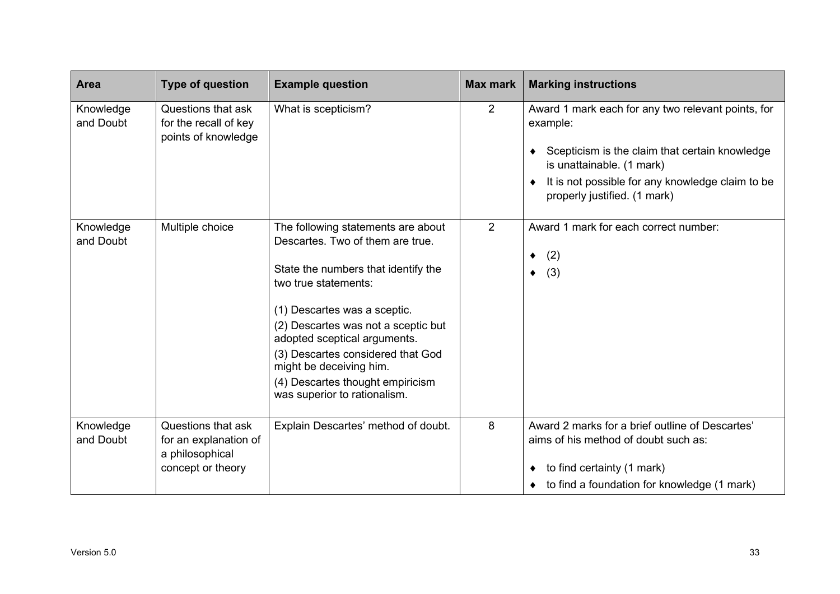| Area                   | Type of question                                                                    | <b>Example question</b>                                                                                                                                                                                                                                                                                                                                                          | <b>Max mark</b> | <b>Marking instructions</b>                                                                                                                                                                                                                    |
|------------------------|-------------------------------------------------------------------------------------|----------------------------------------------------------------------------------------------------------------------------------------------------------------------------------------------------------------------------------------------------------------------------------------------------------------------------------------------------------------------------------|-----------------|------------------------------------------------------------------------------------------------------------------------------------------------------------------------------------------------------------------------------------------------|
| Knowledge<br>and Doubt | Questions that ask<br>for the recall of key<br>points of knowledge                  | What is scepticism?                                                                                                                                                                                                                                                                                                                                                              | $\overline{2}$  | Award 1 mark each for any two relevant points, for<br>example:<br>Scepticism is the claim that certain knowledge<br>is unattainable. (1 mark)<br>It is not possible for any knowledge claim to be<br>$\bullet$<br>properly justified. (1 mark) |
| Knowledge<br>and Doubt | Multiple choice                                                                     | The following statements are about<br>Descartes. Two of them are true.<br>State the numbers that identify the<br>two true statements:<br>(1) Descartes was a sceptic.<br>(2) Descartes was not a sceptic but<br>adopted sceptical arguments.<br>(3) Descartes considered that God<br>might be deceiving him.<br>(4) Descartes thought empiricism<br>was superior to rationalism. | 2               | Award 1 mark for each correct number:<br>(2)<br>٠<br>(3)<br>$\bullet$                                                                                                                                                                          |
| Knowledge<br>and Doubt | Questions that ask<br>for an explanation of<br>a philosophical<br>concept or theory | Explain Descartes' method of doubt.                                                                                                                                                                                                                                                                                                                                              | 8               | Award 2 marks for a brief outline of Descartes'<br>aims of his method of doubt such as:<br>to find certainty (1 mark)<br>٠<br>to find a foundation for knowledge (1 mark)                                                                      |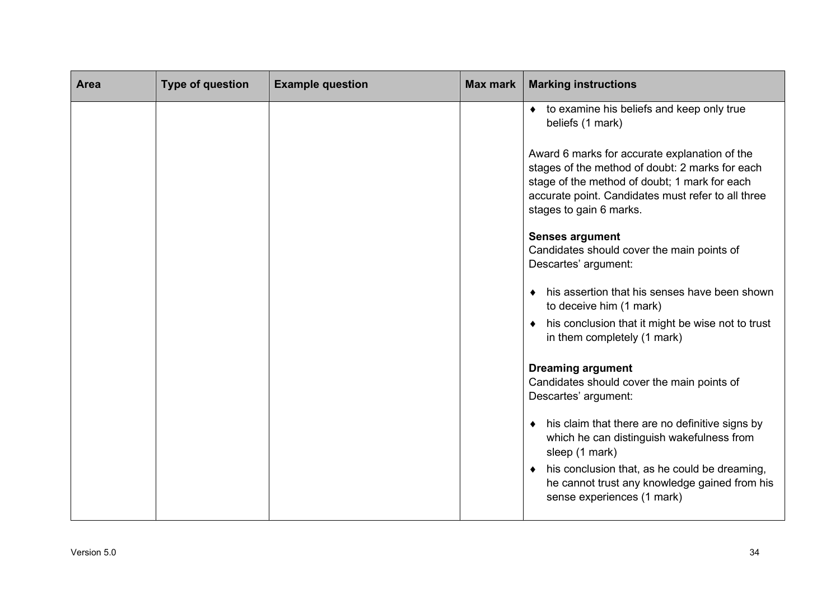| Area | <b>Type of question</b> | <b>Example question</b> | Max mark | <b>Marking instructions</b>                                                                                                                                                                                                        |
|------|-------------------------|-------------------------|----------|------------------------------------------------------------------------------------------------------------------------------------------------------------------------------------------------------------------------------------|
|      |                         |                         |          | • to examine his beliefs and keep only true<br>beliefs (1 mark)                                                                                                                                                                    |
|      |                         |                         |          | Award 6 marks for accurate explanation of the<br>stages of the method of doubt: 2 marks for each<br>stage of the method of doubt; 1 mark for each<br>accurate point. Candidates must refer to all three<br>stages to gain 6 marks. |
|      |                         |                         |          | <b>Senses argument</b>                                                                                                                                                                                                             |
|      |                         |                         |          | Candidates should cover the main points of<br>Descartes' argument:                                                                                                                                                                 |
|      |                         |                         |          | his assertion that his senses have been shown<br>to deceive him (1 mark)                                                                                                                                                           |
|      |                         |                         |          | his conclusion that it might be wise not to trust<br>in them completely (1 mark)                                                                                                                                                   |
|      |                         |                         |          | <b>Dreaming argument</b><br>Candidates should cover the main points of<br>Descartes' argument:                                                                                                                                     |
|      |                         |                         |          | his claim that there are no definitive signs by<br>$\bullet$<br>which he can distinguish wakefulness from<br>sleep (1 mark)                                                                                                        |
|      |                         |                         |          | his conclusion that, as he could be dreaming,<br>٠<br>he cannot trust any knowledge gained from his<br>sense experiences (1 mark)                                                                                                  |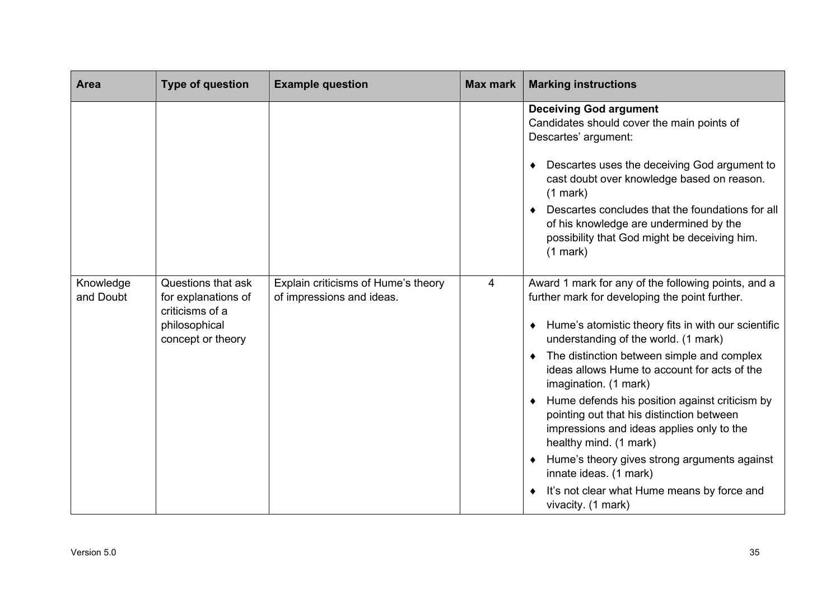| Area                   | <b>Type of question</b>                                                                            | <b>Example question</b>                                          | <b>Max mark</b> | <b>Marking instructions</b>                                                                                                                                                                                                                                                                                                                                                                                                                                                                                                                                                                                                                                     |
|------------------------|----------------------------------------------------------------------------------------------------|------------------------------------------------------------------|-----------------|-----------------------------------------------------------------------------------------------------------------------------------------------------------------------------------------------------------------------------------------------------------------------------------------------------------------------------------------------------------------------------------------------------------------------------------------------------------------------------------------------------------------------------------------------------------------------------------------------------------------------------------------------------------------|
|                        |                                                                                                    |                                                                  |                 | <b>Deceiving God argument</b><br>Candidates should cover the main points of<br>Descartes' argument:<br>Descartes uses the deceiving God argument to<br>٠<br>cast doubt over knowledge based on reason.<br>$(1$ mark $)$<br>Descartes concludes that the foundations for all<br>٠<br>of his knowledge are undermined by the<br>possibility that God might be deceiving him.<br>$(1$ mark $)$                                                                                                                                                                                                                                                                     |
| Knowledge<br>and Doubt | Questions that ask<br>for explanations of<br>criticisms of a<br>philosophical<br>concept or theory | Explain criticisms of Hume's theory<br>of impressions and ideas. | 4               | Award 1 mark for any of the following points, and a<br>further mark for developing the point further.<br>Hume's atomistic theory fits in with our scientific<br>٠<br>understanding of the world. (1 mark)<br>The distinction between simple and complex<br>◆<br>ideas allows Hume to account for acts of the<br>imagination. (1 mark)<br>Hume defends his position against criticism by<br>٠<br>pointing out that his distinction between<br>impressions and ideas applies only to the<br>healthy mind. (1 mark)<br>Hume's theory gives strong arguments against<br>innate ideas. (1 mark)<br>It's not clear what Hume means by force and<br>vivacity. (1 mark) |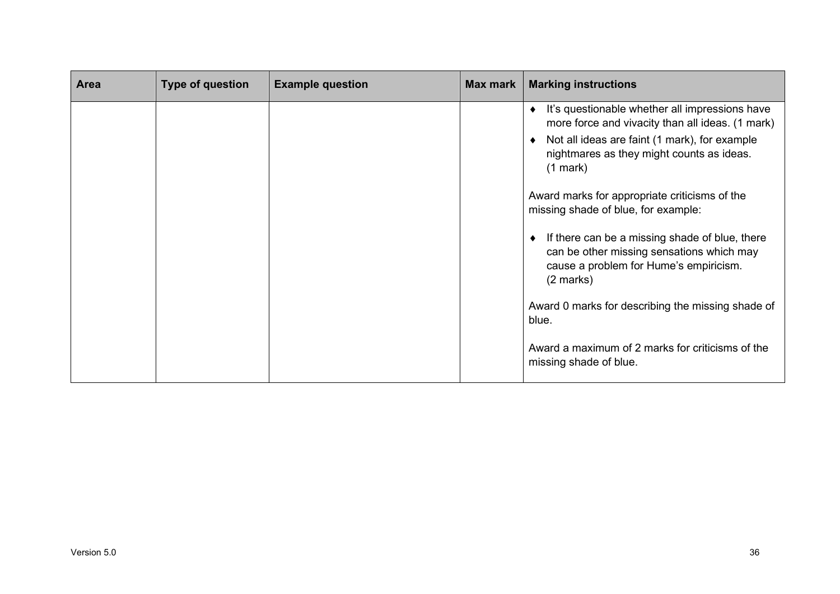| <b>Area</b> | Type of question | <b>Example question</b> | Max mark | <b>Marking instructions</b>                                                                                                                                  |
|-------------|------------------|-------------------------|----------|--------------------------------------------------------------------------------------------------------------------------------------------------------------|
|             |                  |                         |          | It's questionable whether all impressions have<br>٠<br>more force and vivacity than all ideas. (1 mark)                                                      |
|             |                  |                         |          | Not all ideas are faint (1 mark), for example<br>nightmares as they might counts as ideas.<br>$(1$ mark)                                                     |
|             |                  |                         |          | Award marks for appropriate criticisms of the<br>missing shade of blue, for example:                                                                         |
|             |                  |                         |          | If there can be a missing shade of blue, there<br>can be other missing sensations which may<br>cause a problem for Hume's empiricism.<br>$(2 \text{ marks})$ |
|             |                  |                         |          | Award 0 marks for describing the missing shade of<br>blue.                                                                                                   |
|             |                  |                         |          | Award a maximum of 2 marks for criticisms of the<br>missing shade of blue.                                                                                   |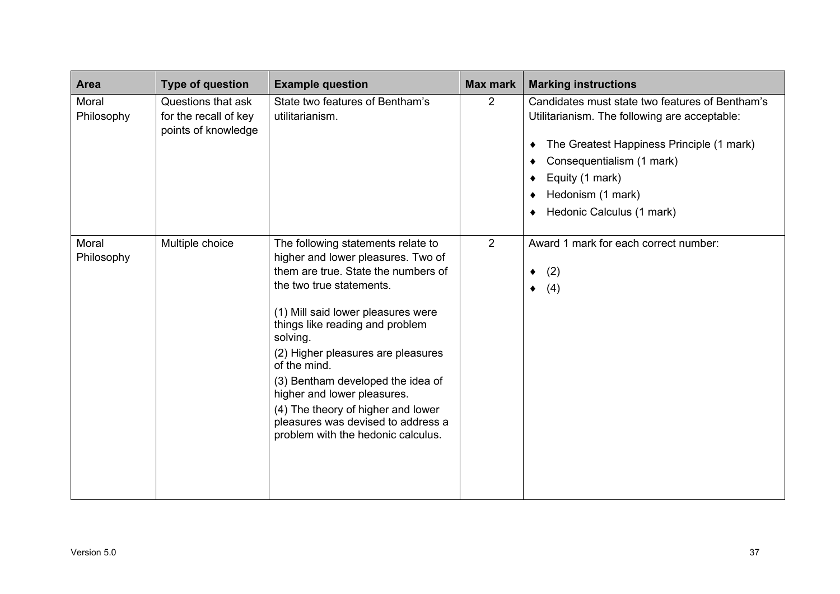| <b>Area</b>         | <b>Type of question</b>                                            | <b>Example question</b>                                                                                                                                                                                                                                                                                                                                                                                                                                                      | <b>Max mark</b>           | <b>Marking instructions</b>                                                                                                                                                                                                                                              |
|---------------------|--------------------------------------------------------------------|------------------------------------------------------------------------------------------------------------------------------------------------------------------------------------------------------------------------------------------------------------------------------------------------------------------------------------------------------------------------------------------------------------------------------------------------------------------------------|---------------------------|--------------------------------------------------------------------------------------------------------------------------------------------------------------------------------------------------------------------------------------------------------------------------|
| Moral<br>Philosophy | Questions that ask<br>for the recall of key<br>points of knowledge | State two features of Bentham's<br>utilitarianism.                                                                                                                                                                                                                                                                                                                                                                                                                           | $\mathbf{2}^{\mathsf{I}}$ | Candidates must state two features of Bentham's<br>Utilitarianism. The following are acceptable:<br>The Greatest Happiness Principle (1 mark)<br>٠<br>Consequentialism (1 mark)<br>٠<br>Equity (1 mark)<br>٠<br>Hedonism (1 mark)<br>٠<br>Hedonic Calculus (1 mark)<br>٠ |
| Moral<br>Philosophy | Multiple choice                                                    | The following statements relate to<br>higher and lower pleasures. Two of<br>them are true. State the numbers of<br>the two true statements.<br>(1) Mill said lower pleasures were<br>things like reading and problem<br>solving.<br>(2) Higher pleasures are pleasures<br>of the mind.<br>(3) Bentham developed the idea of<br>higher and lower pleasures.<br>(4) The theory of higher and lower<br>pleasures was devised to address a<br>problem with the hedonic calculus. | $\overline{2}$            | Award 1 mark for each correct number:<br>(2)<br>٠<br>(4)<br>٠                                                                                                                                                                                                            |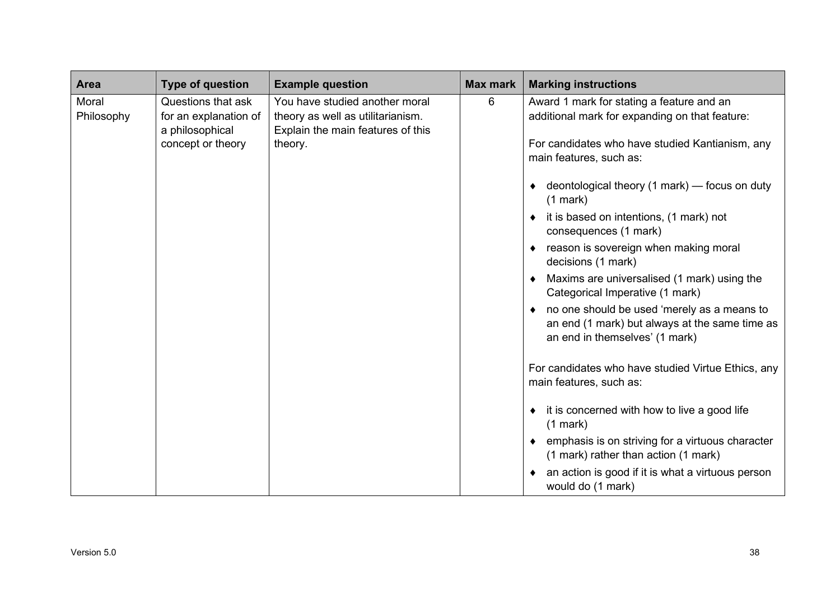| Area                | <b>Type of question</b>                                                             | <b>Example question</b>                                                                                             | <b>Max mark</b> | <b>Marking instructions</b>                                                                                                                                                                                                                                                                                                                                                                                                 |
|---------------------|-------------------------------------------------------------------------------------|---------------------------------------------------------------------------------------------------------------------|-----------------|-----------------------------------------------------------------------------------------------------------------------------------------------------------------------------------------------------------------------------------------------------------------------------------------------------------------------------------------------------------------------------------------------------------------------------|
| Moral<br>Philosophy | Questions that ask<br>for an explanation of<br>a philosophical<br>concept or theory | You have studied another moral<br>theory as well as utilitarianism.<br>Explain the main features of this<br>theory. | 6               | Award 1 mark for stating a feature and an<br>additional mark for expanding on that feature:<br>For candidates who have studied Kantianism, any<br>main features, such as:<br>deontological theory (1 mark) — focus on duty<br>$(1$ mark)<br>it is based on intentions, (1 mark) not<br>consequences (1 mark)<br>reason is sovereign when making moral<br>decisions (1 mark)                                                 |
|                     |                                                                                     |                                                                                                                     |                 | Maxims are universalised (1 mark) using the<br>Categorical Imperative (1 mark)<br>• no one should be used 'merely as a means to<br>an end (1 mark) but always at the same time as<br>an end in themselves' (1 mark)<br>For candidates who have studied Virtue Ethics, any<br>main features, such as:<br>it is concerned with how to live a good life<br>$(1$ mark)<br>emphasis is on striving for a virtuous character<br>٠ |
|                     |                                                                                     |                                                                                                                     |                 | (1 mark) rather than action (1 mark)<br>an action is good if it is what a virtuous person<br>would do (1 mark)                                                                                                                                                                                                                                                                                                              |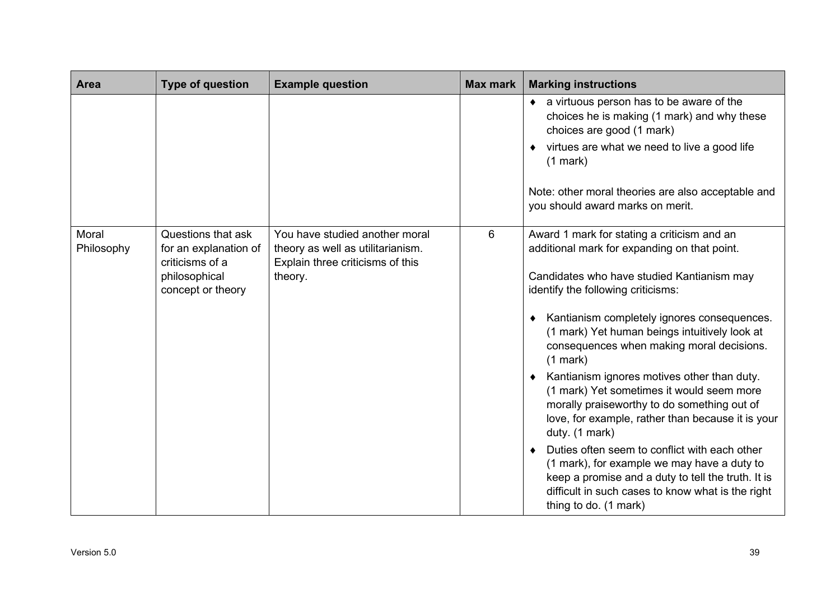| Area                | <b>Type of question</b>                                                                              | <b>Example question</b>                                                                                            | <b>Max mark</b> | <b>Marking instructions</b>                                                                                                                                                                                                                                                                                                                                                                                                                                                                                                                                                                                                                                                                                                                                                                              |
|---------------------|------------------------------------------------------------------------------------------------------|--------------------------------------------------------------------------------------------------------------------|-----------------|----------------------------------------------------------------------------------------------------------------------------------------------------------------------------------------------------------------------------------------------------------------------------------------------------------------------------------------------------------------------------------------------------------------------------------------------------------------------------------------------------------------------------------------------------------------------------------------------------------------------------------------------------------------------------------------------------------------------------------------------------------------------------------------------------------|
|                     |                                                                                                      |                                                                                                                    |                 | a virtuous person has to be aware of the<br>choices he is making (1 mark) and why these<br>choices are good (1 mark)<br>virtues are what we need to live a good life<br>$(1$ mark $)$<br>Note: other moral theories are also acceptable and<br>you should award marks on merit.                                                                                                                                                                                                                                                                                                                                                                                                                                                                                                                          |
| Moral<br>Philosophy | Questions that ask<br>for an explanation of<br>criticisms of a<br>philosophical<br>concept or theory | You have studied another moral<br>theory as well as utilitarianism.<br>Explain three criticisms of this<br>theory. | 6               | Award 1 mark for stating a criticism and an<br>additional mark for expanding on that point.<br>Candidates who have studied Kantianism may<br>identify the following criticisms:<br>Kantianism completely ignores consequences.<br>٠<br>(1 mark) Yet human beings intuitively look at<br>consequences when making moral decisions.<br>(1 mark)<br>Kantianism ignores motives other than duty.<br>٠<br>(1 mark) Yet sometimes it would seem more<br>morally praiseworthy to do something out of<br>love, for example, rather than because it is your<br>duty. (1 mark)<br>Duties often seem to conflict with each other<br>(1 mark), for example we may have a duty to<br>keep a promise and a duty to tell the truth. It is<br>difficult in such cases to know what is the right<br>thing to do. (1 mark) |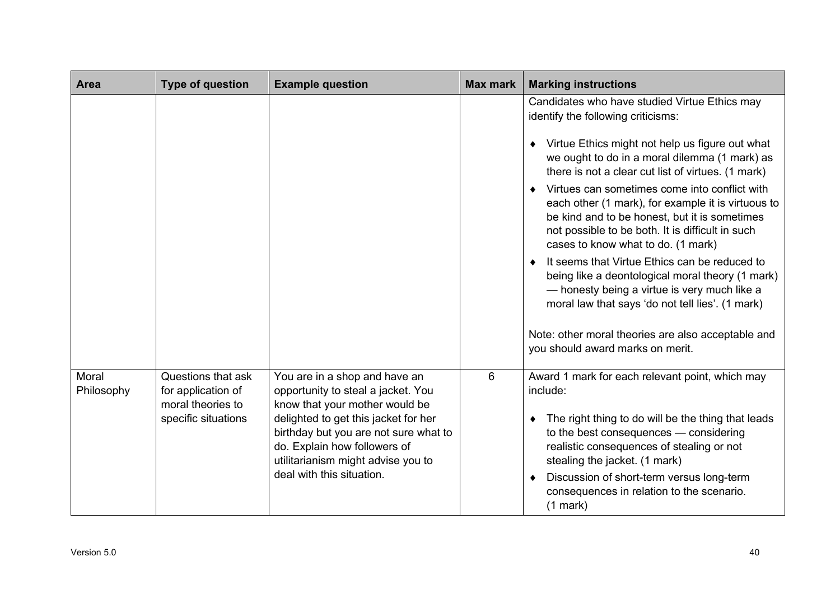| <b>Area</b>         | <b>Type of question</b>                                       | <b>Example question</b>                                                                                                                             | <b>Max mark</b> | <b>Marking instructions</b>                                                                                                                                                                                                                    |  |  |
|---------------------|---------------------------------------------------------------|-----------------------------------------------------------------------------------------------------------------------------------------------------|-----------------|------------------------------------------------------------------------------------------------------------------------------------------------------------------------------------------------------------------------------------------------|--|--|
|                     |                                                               |                                                                                                                                                     |                 | Candidates who have studied Virtue Ethics may<br>identify the following criticisms:                                                                                                                                                            |  |  |
|                     |                                                               |                                                                                                                                                     |                 | Virtue Ethics might not help us figure out what<br>we ought to do in a moral dilemma (1 mark) as<br>there is not a clear cut list of virtues. (1 mark)                                                                                         |  |  |
|                     |                                                               |                                                                                                                                                     |                 | Virtues can sometimes come into conflict with<br>each other (1 mark), for example it is virtuous to<br>be kind and to be honest, but it is sometimes<br>not possible to be both. It is difficult in such<br>cases to know what to do. (1 mark) |  |  |
|                     |                                                               |                                                                                                                                                     |                 | It seems that Virtue Ethics can be reduced to<br>$\bullet$<br>being like a deontological moral theory (1 mark)<br>- honesty being a virtue is very much like a<br>moral law that says 'do not tell lies'. (1 mark)                             |  |  |
|                     |                                                               |                                                                                                                                                     |                 | Note: other moral theories are also acceptable and<br>you should award marks on merit.                                                                                                                                                         |  |  |
| Moral<br>Philosophy | Questions that ask<br>for application of<br>moral theories to | You are in a shop and have an<br>opportunity to steal a jacket. You<br>know that your mother would be                                               | 6               | Award 1 mark for each relevant point, which may<br>include:                                                                                                                                                                                    |  |  |
|                     | specific situations                                           | delighted to get this jacket for her<br>birthday but you are not sure what to<br>do. Explain how followers of<br>utilitarianism might advise you to |                 | The right thing to do will be the thing that leads<br>to the best consequences — considering<br>realistic consequences of stealing or not<br>stealing the jacket. (1 mark)                                                                     |  |  |
|                     |                                                               | deal with this situation.                                                                                                                           |                 | Discussion of short-term versus long-term<br>consequences in relation to the scenario.<br>(1 mark)                                                                                                                                             |  |  |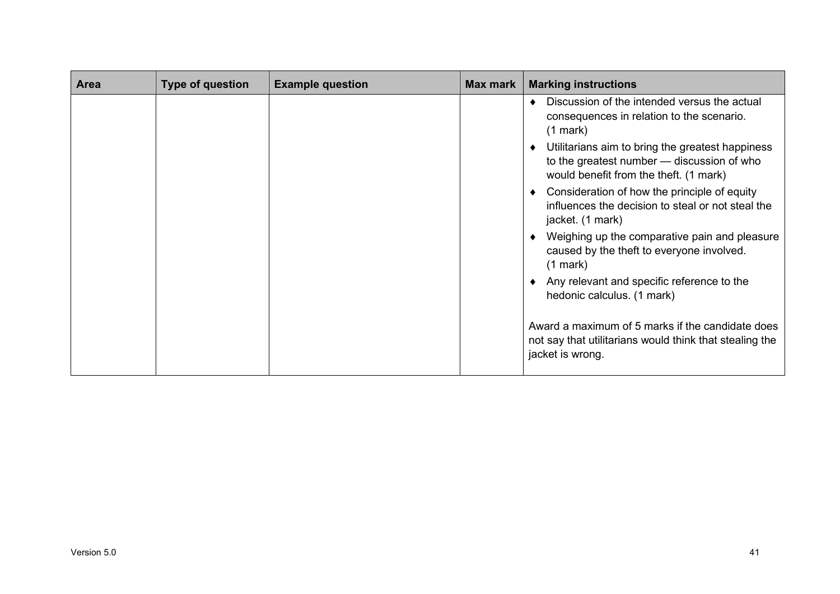| <b>Area</b> | Type of question | <b>Example question</b> | Max mark | <b>Marking instructions</b>                                                                                                                                                                               |
|-------------|------------------|-------------------------|----------|-----------------------------------------------------------------------------------------------------------------------------------------------------------------------------------------------------------|
|             |                  |                         |          | Discussion of the intended versus the actual<br>consequences in relation to the scenario.<br>$(1$ mark)<br>Utilitarians aim to bring the greatest happiness<br>to the greatest number - discussion of who |
|             |                  |                         |          | would benefit from the theft. (1 mark)<br>Consideration of how the principle of equity<br>influences the decision to steal or not steal the<br>jacket. (1 mark)                                           |
|             |                  |                         |          | Weighing up the comparative pain and pleasure<br>caused by the theft to everyone involved.<br>$(1$ mark)                                                                                                  |
|             |                  |                         |          | Any relevant and specific reference to the<br>hedonic calculus. (1 mark)                                                                                                                                  |
|             |                  |                         |          | Award a maximum of 5 marks if the candidate does<br>not say that utilitarians would think that stealing the<br>jacket is wrong.                                                                           |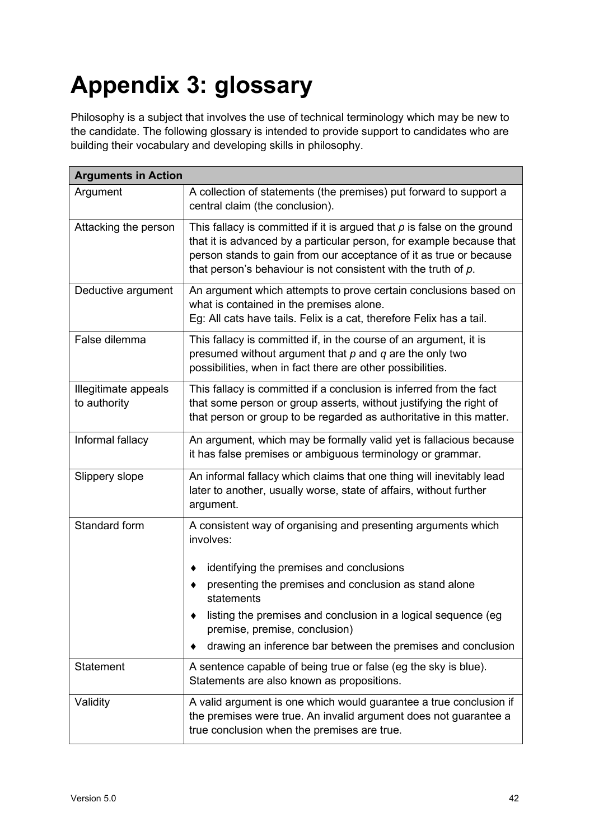# <span id="page-43-0"></span>**Appendix 3: glossary**

Philosophy is a subject that involves the use of technical terminology which may be new to the candidate. The following glossary is intended to provide support to candidates who are building their vocabulary and developing skills in philosophy.

| <b>Arguments in Action</b>           |                                                                                                                                                                                                                                                                                              |  |  |
|--------------------------------------|----------------------------------------------------------------------------------------------------------------------------------------------------------------------------------------------------------------------------------------------------------------------------------------------|--|--|
| Argument                             | A collection of statements (the premises) put forward to support a<br>central claim (the conclusion).                                                                                                                                                                                        |  |  |
| Attacking the person                 | This fallacy is committed if it is argued that $p$ is false on the ground<br>that it is advanced by a particular person, for example because that<br>person stands to gain from our acceptance of it as true or because<br>that person's behaviour is not consistent with the truth of $p$ . |  |  |
| Deductive argument                   | An argument which attempts to prove certain conclusions based on<br>what is contained in the premises alone.<br>Eg: All cats have tails. Felix is a cat, therefore Felix has a tail.                                                                                                         |  |  |
| False dilemma                        | This fallacy is committed if, in the course of an argument, it is<br>presumed without argument that $p$ and $q$ are the only two<br>possibilities, when in fact there are other possibilities.                                                                                               |  |  |
| Illegitimate appeals<br>to authority | This fallacy is committed if a conclusion is inferred from the fact<br>that some person or group asserts, without justifying the right of<br>that person or group to be regarded as authoritative in this matter.                                                                            |  |  |
| Informal fallacy                     | An argument, which may be formally valid yet is fallacious because<br>it has false premises or ambiguous terminology or grammar.                                                                                                                                                             |  |  |
| Slippery slope                       | An informal fallacy which claims that one thing will inevitably lead<br>later to another, usually worse, state of affairs, without further<br>argument.                                                                                                                                      |  |  |
| Standard form                        | A consistent way of organising and presenting arguments which<br>involves:                                                                                                                                                                                                                   |  |  |
|                                      | identifying the premises and conclusions<br>٠                                                                                                                                                                                                                                                |  |  |
|                                      | presenting the premises and conclusion as stand alone<br>$\blacklozenge$<br>statements                                                                                                                                                                                                       |  |  |
|                                      | listing the premises and conclusion in a logical sequence (eg<br>premise, premise, conclusion)                                                                                                                                                                                               |  |  |
|                                      | drawing an inference bar between the premises and conclusion<br>٠                                                                                                                                                                                                                            |  |  |
| <b>Statement</b>                     | A sentence capable of being true or false (eg the sky is blue).<br>Statements are also known as propositions.                                                                                                                                                                                |  |  |
| Validity                             | A valid argument is one which would guarantee a true conclusion if<br>the premises were true. An invalid argument does not guarantee a<br>true conclusion when the premises are true.                                                                                                        |  |  |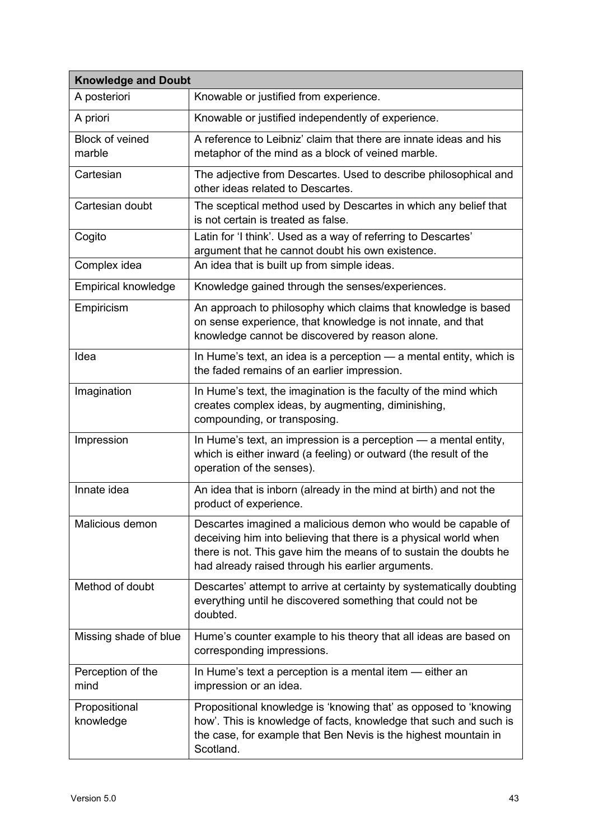| <b>Knowledge and Doubt</b>       |                                                                                                                                                                                                                                                            |  |  |  |
|----------------------------------|------------------------------------------------------------------------------------------------------------------------------------------------------------------------------------------------------------------------------------------------------------|--|--|--|
| A posteriori                     | Knowable or justified from experience.                                                                                                                                                                                                                     |  |  |  |
| A priori                         | Knowable or justified independently of experience.                                                                                                                                                                                                         |  |  |  |
| <b>Block of veined</b><br>marble | A reference to Leibniz' claim that there are innate ideas and his<br>metaphor of the mind as a block of veined marble.                                                                                                                                     |  |  |  |
| Cartesian                        | The adjective from Descartes. Used to describe philosophical and<br>other ideas related to Descartes.                                                                                                                                                      |  |  |  |
| Cartesian doubt                  | The sceptical method used by Descartes in which any belief that<br>is not certain is treated as false.                                                                                                                                                     |  |  |  |
| Cogito                           | Latin for 'I think'. Used as a way of referring to Descartes'<br>argument that he cannot doubt his own existence.                                                                                                                                          |  |  |  |
| Complex idea                     | An idea that is built up from simple ideas.                                                                                                                                                                                                                |  |  |  |
| <b>Empirical knowledge</b>       | Knowledge gained through the senses/experiences.                                                                                                                                                                                                           |  |  |  |
| Empiricism                       | An approach to philosophy which claims that knowledge is based<br>on sense experience, that knowledge is not innate, and that<br>knowledge cannot be discovered by reason alone.                                                                           |  |  |  |
| Idea                             | In Hume's text, an idea is a perception - a mental entity, which is<br>the faded remains of an earlier impression.                                                                                                                                         |  |  |  |
| Imagination                      | In Hume's text, the imagination is the faculty of the mind which<br>creates complex ideas, by augmenting, diminishing,<br>compounding, or transposing.                                                                                                     |  |  |  |
| Impression                       | In Hume's text, an impression is a perception - a mental entity,<br>which is either inward (a feeling) or outward (the result of the<br>operation of the senses).                                                                                          |  |  |  |
| Innate idea                      | An idea that is inborn (already in the mind at birth) and not the<br>product of experience.                                                                                                                                                                |  |  |  |
| Malicious demon                  | Descartes imagined a malicious demon who would be capable of<br>deceiving him into believing that there is a physical world when<br>there is not. This gave him the means of to sustain the doubts he<br>had already raised through his earlier arguments. |  |  |  |
| Method of doubt                  | Descartes' attempt to arrive at certainty by systematically doubting<br>everything until he discovered something that could not be<br>doubted.                                                                                                             |  |  |  |
| Missing shade of blue            | Hume's counter example to his theory that all ideas are based on<br>corresponding impressions.                                                                                                                                                             |  |  |  |
| Perception of the<br>mind        | In Hume's text a perception is a mental item - either an<br>impression or an idea.                                                                                                                                                                         |  |  |  |
| Propositional<br>knowledge       | Propositional knowledge is 'knowing that' as opposed to 'knowing<br>how'. This is knowledge of facts, knowledge that such and such is<br>the case, for example that Ben Nevis is the highest mountain in<br>Scotland.                                      |  |  |  |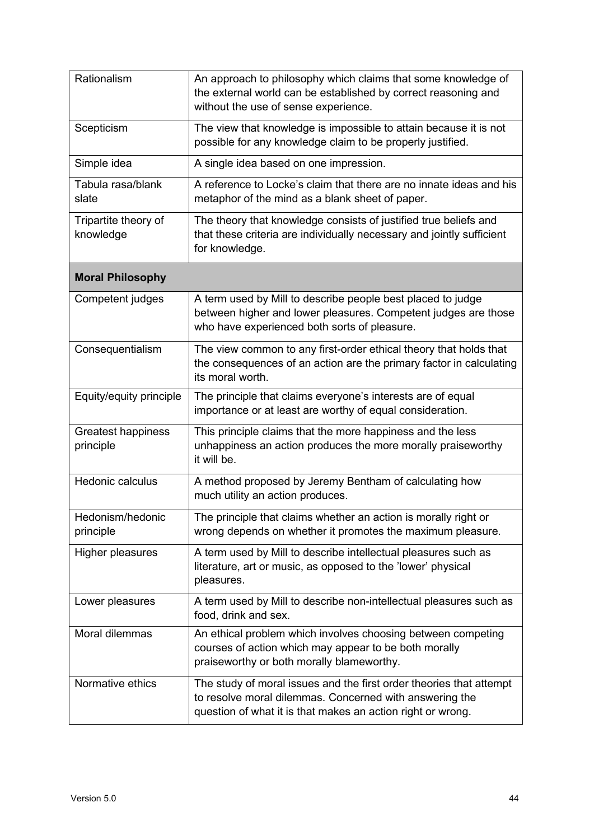| Rationalism                            | An approach to philosophy which claims that some knowledge of<br>the external world can be established by correct reasoning and<br>without the use of sense experience.                       |
|----------------------------------------|-----------------------------------------------------------------------------------------------------------------------------------------------------------------------------------------------|
| Scepticism                             | The view that knowledge is impossible to attain because it is not<br>possible for any knowledge claim to be properly justified.                                                               |
| Simple idea                            | A single idea based on one impression.                                                                                                                                                        |
| Tabula rasa/blank<br>slate             | A reference to Locke's claim that there are no innate ideas and his<br>metaphor of the mind as a blank sheet of paper.                                                                        |
| Tripartite theory of<br>knowledge      | The theory that knowledge consists of justified true beliefs and<br>that these criteria are individually necessary and jointly sufficient<br>for knowledge.                                   |
| <b>Moral Philosophy</b>                |                                                                                                                                                                                               |
| Competent judges                       | A term used by Mill to describe people best placed to judge<br>between higher and lower pleasures. Competent judges are those<br>who have experienced both sorts of pleasure.                 |
| Consequentialism                       | The view common to any first-order ethical theory that holds that<br>the consequences of an action are the primary factor in calculating<br>its moral worth.                                  |
| Equity/equity principle                | The principle that claims everyone's interests are of equal<br>importance or at least are worthy of equal consideration.                                                                      |
| <b>Greatest happiness</b><br>principle | This principle claims that the more happiness and the less<br>unhappiness an action produces the more morally praiseworthy<br>it will be.                                                     |
| <b>Hedonic calculus</b>                | A method proposed by Jeremy Bentham of calculating how<br>much utility an action produces.                                                                                                    |
| Hedonism/hedonic<br>principle          | The principle that claims whether an action is morally right or<br>wrong depends on whether it promotes the maximum pleasure.                                                                 |
| Higher pleasures                       | A term used by Mill to describe intellectual pleasures such as<br>literature, art or music, as opposed to the 'lower' physical<br>pleasures.                                                  |
| Lower pleasures                        | A term used by Mill to describe non-intellectual pleasures such as<br>food, drink and sex.                                                                                                    |
| Moral dilemmas                         | An ethical problem which involves choosing between competing<br>courses of action which may appear to be both morally<br>praiseworthy or both morally blameworthy.                            |
| Normative ethics                       | The study of moral issues and the first order theories that attempt<br>to resolve moral dilemmas. Concerned with answering the<br>question of what it is that makes an action right or wrong. |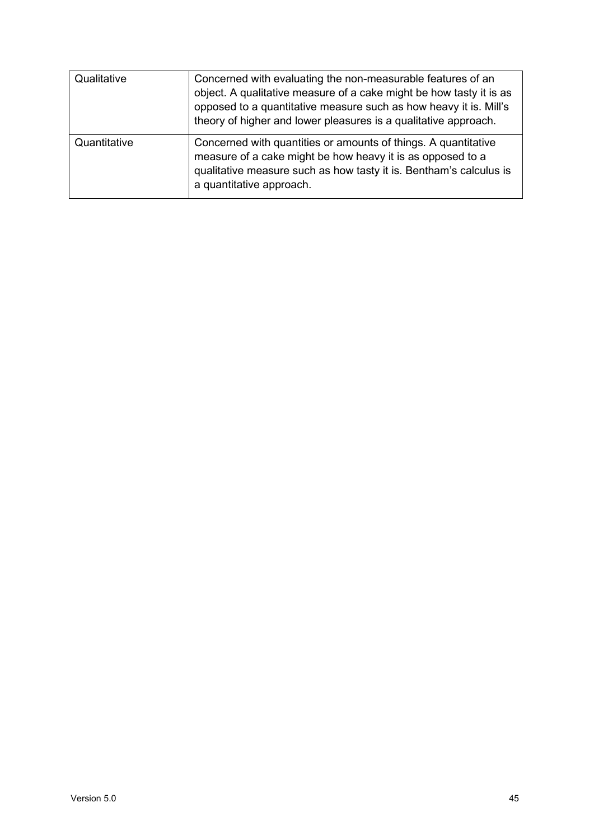| Qualitative  | Concerned with evaluating the non-measurable features of an<br>object. A qualitative measure of a cake might be how tasty it is as<br>opposed to a quantitative measure such as how heavy it is. Mill's<br>theory of higher and lower pleasures is a qualitative approach. |
|--------------|----------------------------------------------------------------------------------------------------------------------------------------------------------------------------------------------------------------------------------------------------------------------------|
| Quantitative | Concerned with quantities or amounts of things. A quantitative<br>measure of a cake might be how heavy it is as opposed to a<br>qualitative measure such as how tasty it is. Bentham's calculus is<br>a quantitative approach.                                             |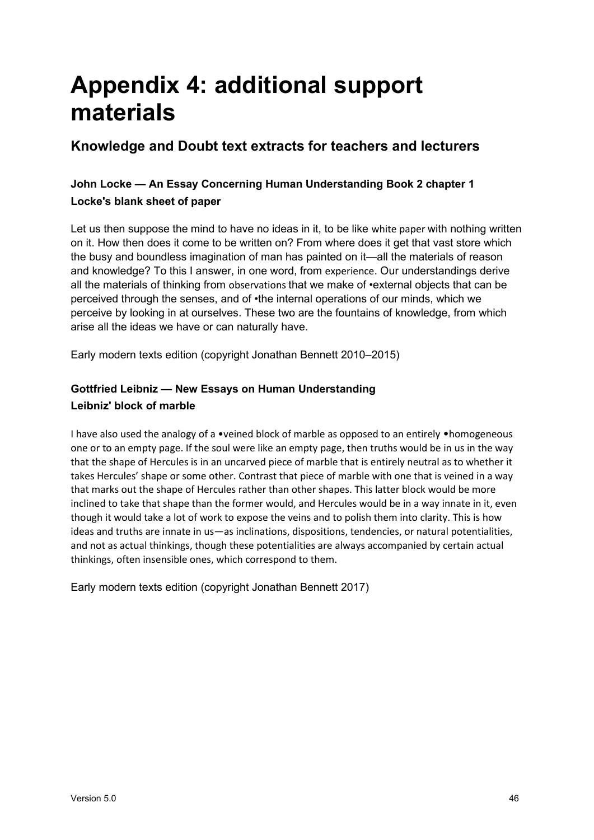# <span id="page-47-0"></span>**Appendix 4: additional support materials**

### **Knowledge and Doubt text extracts for teachers and lecturers**

### **John Locke — An Essay Concerning Human Understanding Book 2 chapter 1 Locke's blank sheet of paper**

Let us then suppose the mind to have no ideas in it, to be like white paper with nothing written on it. How then does it come to be written on? From where does it get that vast store which the busy and boundless imagination of man has painted on it—all the materials of reason and knowledge? To this I answer, in one word, from experience. Our understandings derive all the materials of thinking from observations that we make of •external objects that can be perceived through the senses, and of •the internal operations of our minds, which we perceive by looking in at ourselves. These two are the fountains of knowledge, from which arise all the ideas we have or can naturally have.

Early modern texts edition (copyright Jonathan Bennett 2010–2015)

#### **Gottfried Leibniz — New Essays on Human Understanding Leibniz' block of marble**

I have also used the analogy of a •veined block of marble as opposed to an entirely •homogeneous one or to an empty page. If the soul were like an empty page, then truths would be in us in the way that the shape of Hercules is in an uncarved piece of marble that is entirely neutral as to whether it takes Hercules' shape or some other. Contrast that piece of marble with one that is veined in a way that marks out the shape of Hercules rather than other shapes. This latter block would be more inclined to take that shape than the former would, and Hercules would be in a way innate in it, even though it would take a lot of work to expose the veins and to polish them into clarity. This is how ideas and truths are innate in us—as inclinations, dispositions, tendencies, or natural potentialities, and not as actual thinkings, though these potentialities are always accompanied by certain actual thinkings, often insensible ones, which correspond to them.

Early modern texts edition (copyright Jonathan Bennett 2017)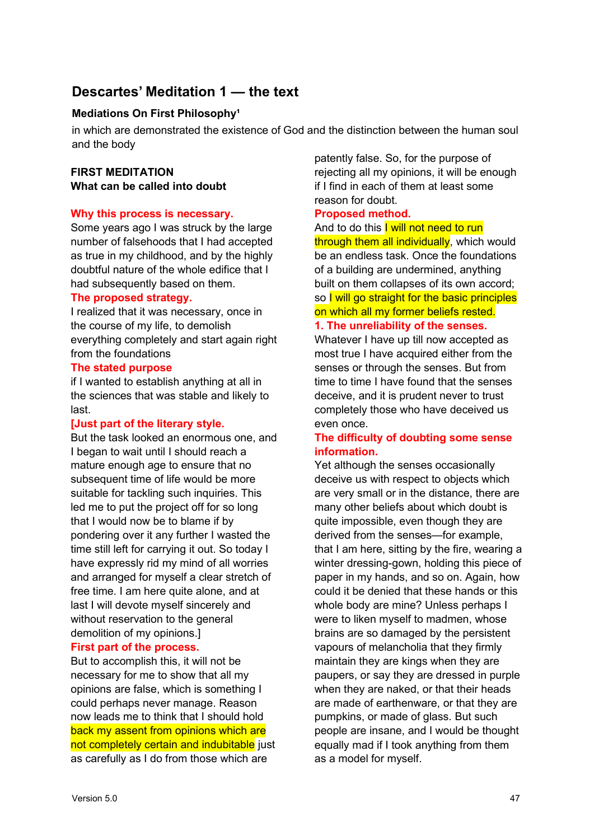### **Descartes' Meditation 1 — the text**

#### **Mediations On First Philosophy<sup>1</sup>**

in which are demonstrated the existence of God and the distinction between the human soul and the body

#### **FIRST MEDITATION What can be called into doubt**

#### **Why this process is necessary.**

Some years ago I was struck by the large number of falsehoods that I had accepted as true in my childhood, and by the highly doubtful nature of the whole edifice that I had subsequently based on them.

#### **The proposed strategy.**

I realized that it was necessary, once in the course of my life, to demolish everything completely and start again right from the foundations

#### **The stated purpose**

if I wanted to establish anything at all in the sciences that was stable and likely to last.

#### **[Just part of the literary style.**

But the task looked an enormous one, and I began to wait until I should reach a mature enough age to ensure that no subsequent time of life would be more suitable for tackling such inquiries. This led me to put the project off for so long that I would now be to blame if by pondering over it any further I wasted the time still left for carrying it out. So today I have expressly rid my mind of all worries and arranged for myself a clear stretch of free time. I am here quite alone, and at last I will devote myself sincerely and without reservation to the general demolition of my opinions.]

#### **First part of the process.**

But to accomplish this, it will not be necessary for me to show that all my opinions are false, which is something I could perhaps never manage. Reason now leads me to think that I should hold back my assent from opinions which are not completely certain and indubitable just as carefully as I do from those which are

patently false. So, for the purpose of rejecting all my opinions, it will be enough if I find in each of them at least some reason for doubt.

#### **Proposed method.**

And to do this I will not need to run through them all individually, which would be an endless task. Once the foundations of a building are undermined, anything built on them collapses of its own accord; so I will go straight for the basic principles on which all my former beliefs rested.

#### **1. The unreliability of the senses.**

Whatever I have up till now accepted as most true I have acquired either from the senses or through the senses. But from time to time I have found that the senses deceive, and it is prudent never to trust completely those who have deceived us even once.

#### **The difficulty of doubting some sense information.**

Yet although the senses occasionally deceive us with respect to objects which are very small or in the distance, there are many other beliefs about which doubt is quite impossible, even though they are derived from the senses—for example, that I am here, sitting by the fire, wearing a winter dressing-gown, holding this piece of paper in my hands, and so on. Again, how could it be denied that these hands or this whole body are mine? Unless perhaps I were to liken myself to madmen, whose brains are so damaged by the persistent vapours of melancholia that they firmly maintain they are kings when they are paupers, or say they are dressed in purple when they are naked, or that their heads are made of earthenware, or that they are pumpkins, or made of glass. But such people are insane, and I would be thought equally mad if I took anything from them as a model for myself.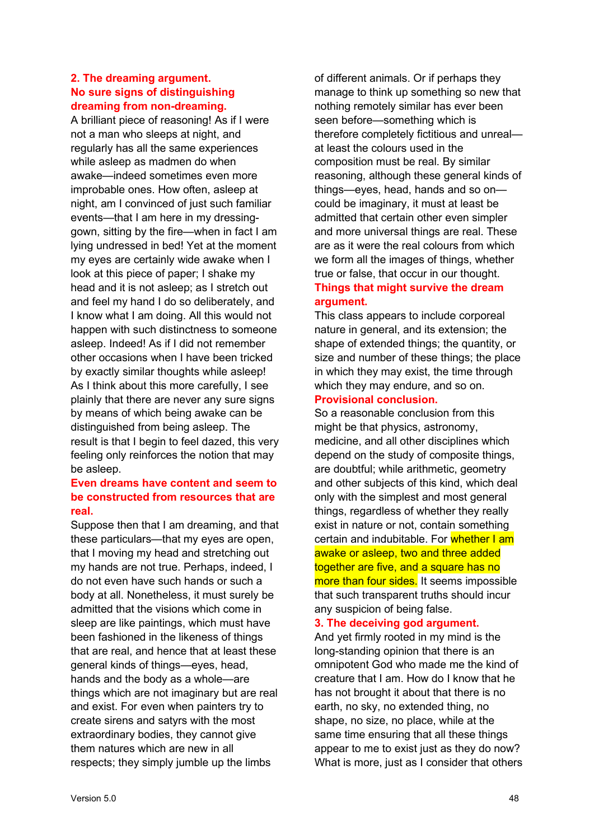#### **2. The dreaming argument. No sure signs of distinguishing dreaming from non-dreaming.**

A brilliant piece of reasoning! As if I were not a man who sleeps at night, and regularly has all the same experiences while asleep as madmen do when awake—indeed sometimes even more improbable ones. How often, asleep at night, am I convinced of just such familiar events—that I am here in my dressinggown, sitting by the fire—when in fact I am lying undressed in bed! Yet at the moment my eyes are certainly wide awake when I look at this piece of paper; I shake my head and it is not asleep; as I stretch out and feel my hand I do so deliberately, and I know what I am doing. All this would not happen with such distinctness to someone asleep. Indeed! As if I did not remember other occasions when I have been tricked by exactly similar thoughts while asleep! As I think about this more carefully, I see plainly that there are never any sure signs by means of which being awake can be distinguished from being asleep. The result is that I begin to feel dazed, this very feeling only reinforces the notion that may be asleep.

#### **Even dreams have content and seem to be constructed from resources that are real.**

Suppose then that I am dreaming, and that these particulars—that my eyes are open, that I moving my head and stretching out my hands are not true. Perhaps, indeed, I do not even have such hands or such a body at all. Nonetheless, it must surely be admitted that the visions which come in sleep are like paintings, which must have been fashioned in the likeness of things that are real, and hence that at least these general kinds of things—eyes, head, hands and the body as a whole—are things which are not imaginary but are real and exist. For even when painters try to create sirens and satyrs with the most extraordinary bodies, they cannot give them natures which are new in all respects; they simply jumble up the limbs

of different animals. Or if perhaps they manage to think up something so new that nothing remotely similar has ever been seen before—something which is therefore completely fictitious and unreal at least the colours used in the composition must be real. By similar reasoning, although these general kinds of things—eyes, head, hands and so on could be imaginary, it must at least be admitted that certain other even simpler and more universal things are real. These are as it were the real colours from which we form all the images of things, whether true or false, that occur in our thought. **Things that might survive the dream** 

**argument.** This class appears to include corporeal nature in general, and its extension; the shape of extended things; the quantity, or size and number of these things; the place

in which they may exist, the time through

#### which they may endure, and so on. **Provisional conclusion.**

So a reasonable conclusion from this might be that physics, astronomy, medicine, and all other disciplines which depend on the study of composite things, are doubtful; while arithmetic, geometry and other subjects of this kind, which deal only with the simplest and most general things, regardless of whether they really exist in nature or not, contain something certain and indubitable. For whether I am awake or asleep, two and three added together are five, and a square has no more than four sides. It seems impossible that such transparent truths should incur any suspicion of being false.

#### **3. The deceiving god argument.**

And yet firmly rooted in my mind is the long-standing opinion that there is an omnipotent God who made me the kind of creature that I am. How do I know that he has not brought it about that there is no earth, no sky, no extended thing, no shape, no size, no place, while at the same time ensuring that all these things appear to me to exist just as they do now? What is more, just as I consider that others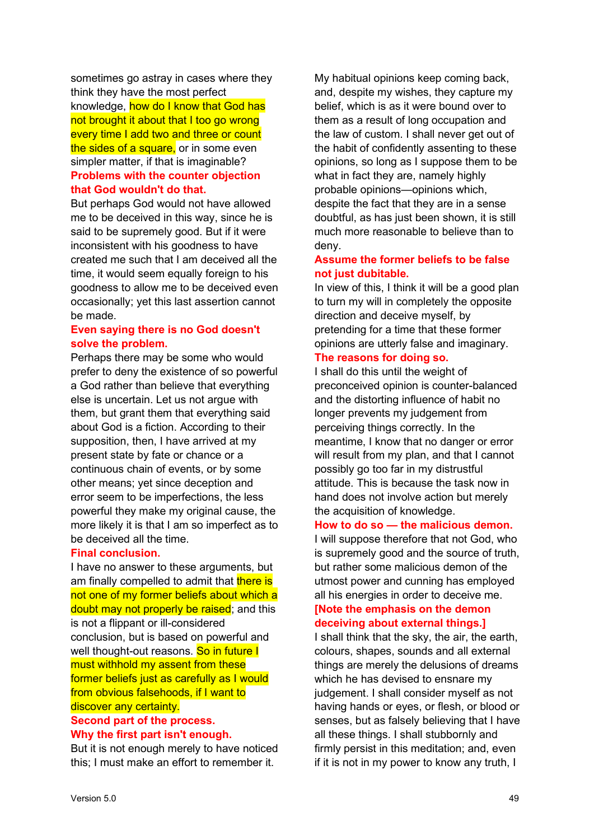sometimes go astray in cases where they think they have the most perfect knowledge, how do I know that God has not brought it about that I too go wrong every time I add two and three or count the sides of a square, or in some even simpler matter, if that is imaginable? **Problems with the counter objection that God wouldn't do that.**

But perhaps God would not have allowed me to be deceived in this way, since he is said to be supremely good. But if it were inconsistent with his goodness to have created me such that I am deceived all the time, it would seem equally foreign to his goodness to allow me to be deceived even occasionally; yet this last assertion cannot be made.

#### **Even saying there is no God doesn't solve the problem.**

Perhaps there may be some who would prefer to deny the existence of so powerful a God rather than believe that everything else is uncertain. Let us not argue with them, but grant them that everything said about God is a fiction. According to their supposition, then, I have arrived at my present state by fate or chance or a continuous chain of events, or by some other means; yet since deception and error seem to be imperfections, the less powerful they make my original cause, the more likely it is that I am so imperfect as to be deceived all the time.

#### **Final conclusion.**

I have no answer to these arguments, but am finally compelled to admit that there is not one of my former beliefs about which a doubt may not properly be raised; and this is not a flippant or ill-considered conclusion, but is based on powerful and well thought-out reasons. So in future I must withhold my assent from these former beliefs just as carefully as I would from obvious falsehoods, if I want to discover any certainty.

#### **Second part of the process. Why the first part isn't enough.**

But it is not enough merely to have noticed this; I must make an effort to remember it.

My habitual opinions keep coming back, and, despite my wishes, they capture my belief, which is as it were bound over to them as a result of long occupation and the law of custom. I shall never get out of the habit of confidently assenting to these opinions, so long as I suppose them to be what in fact they are, namely highly probable opinions—opinions which, despite the fact that they are in a sense doubtful, as has just been shown, it is still much more reasonable to believe than to deny.

#### **Assume the former beliefs to be false not just dubitable.**

In view of this, I think it will be a good plan to turn my will in completely the opposite direction and deceive myself, by pretending for a time that these former opinions are utterly false and imaginary.

#### **The reasons for doing so.**

I shall do this until the weight of preconceived opinion is counter-balanced and the distorting influence of habit no longer prevents my judgement from perceiving things correctly. In the meantime, I know that no danger or error will result from my plan, and that I cannot possibly go too far in my distrustful attitude. This is because the task now in hand does not involve action but merely the acquisition of knowledge.

#### **How to do so — the malicious demon.**

I will suppose therefore that not God, who is supremely good and the source of truth, but rather some malicious demon of the utmost power and cunning has employed all his energies in order to deceive me. **[Note the emphasis on the demon deceiving about external things.]**

I shall think that the sky, the air, the earth, colours, shapes, sounds and all external things are merely the delusions of dreams which he has devised to ensnare my judgement. I shall consider myself as not having hands or eyes, or flesh, or blood or senses, but as falsely believing that I have all these things. I shall stubbornly and firmly persist in this meditation; and, even if it is not in my power to know any truth, I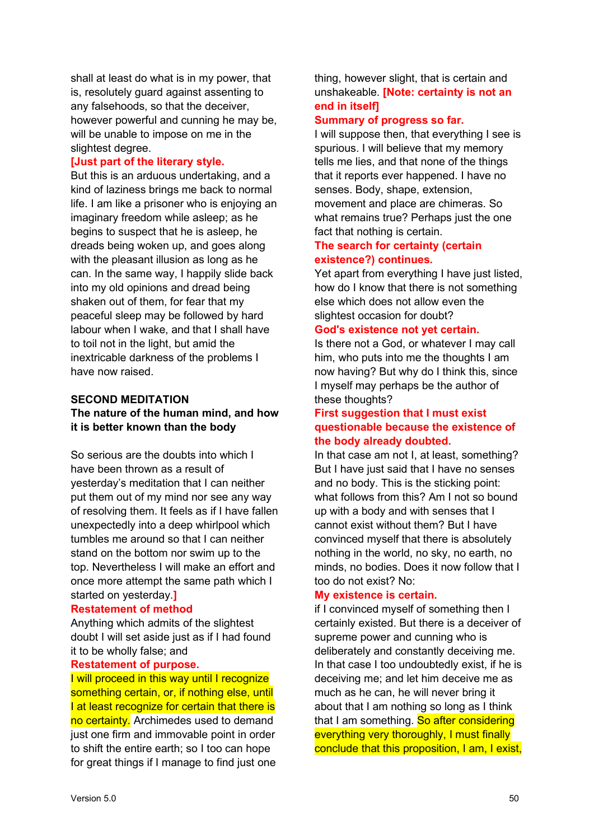shall at least do what is in my power, that is, resolutely guard against assenting to any falsehoods, so that the deceiver, however powerful and cunning he may be, will be unable to impose on me in the slightest degree.

#### **[Just part of the literary style.**

But this is an arduous undertaking, and a kind of laziness brings me back to normal life. I am like a prisoner who is enjoying an imaginary freedom while asleep; as he begins to suspect that he is asleep, he dreads being woken up, and goes along with the pleasant illusion as long as he can. In the same way, I happily slide back into my old opinions and dread being shaken out of them, for fear that my peaceful sleep may be followed by hard labour when I wake, and that I shall have to toil not in the light, but amid the inextricable darkness of the problems I have now raised.

#### **SECOND MEDITATION**

#### **The nature of the human mind, and how it is better known than the body**

So serious are the doubts into which I have been thrown as a result of yesterday's meditation that I can neither put them out of my mind nor see any way of resolving them. It feels as if I have fallen unexpectedly into a deep whirlpool which tumbles me around so that I can neither stand on the bottom nor swim up to the top. Nevertheless I will make an effort and once more attempt the same path which I started on yesterday.**]**

#### **Restatement of method**

Anything which admits of the slightest doubt I will set aside just as if I had found it to be wholly false; and

#### **Restatement of purpose.**

I will proceed in this way until I recognize something certain, or, if nothing else, until I at least recognize for certain that there is no certainty. Archimedes used to demand just one firm and immovable point in order to shift the entire earth; so I too can hope for great things if I manage to find just one thing, however slight, that is certain and unshakeable. **[Note: certainty is not an end in itself]**

#### **Summary of progress so far.**

I will suppose then, that everything I see is spurious. I will believe that my memory tells me lies, and that none of the things that it reports ever happened. I have no senses. Body, shape, extension, movement and place are chimeras. So what remains true? Perhaps just the one fact that nothing is certain.

#### **The search for certainty (certain existence?) continues.**

Yet apart from everything I have just listed, how do I know that there is not something else which does not allow even the slightest occasion for doubt?

#### **God's existence not yet certain.**

Is there not a God, or whatever I may call him, who puts into me the thoughts I am now having? But why do I think this, since I myself may perhaps be the author of these thoughts?

#### **First suggestion that I must exist questionable because the existence of the body already doubted.**

In that case am not I, at least, something? But I have just said that I have no senses and no body. This is the sticking point: what follows from this? Am I not so bound up with a body and with senses that I cannot exist without them? But I have convinced myself that there is absolutely nothing in the world, no sky, no earth, no minds, no bodies. Does it now follow that I too do not exist? No:

#### **My existence is certain.**

if I convinced myself of something then I certainly existed. But there is a deceiver of supreme power and cunning who is deliberately and constantly deceiving me. In that case I too undoubtedly exist, if he is deceiving me; and let him deceive me as much as he can, he will never bring it about that I am nothing so long as I think that I am something. So after considering everything very thoroughly, I must finally conclude that this proposition, I am, I exist,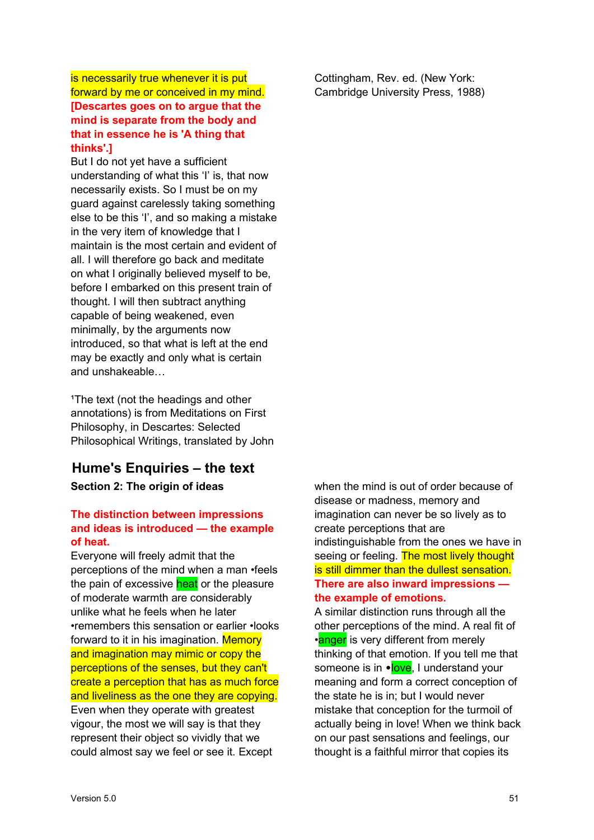is necessarily true whenever it is put forward by me or conceived in my mind. **[Descartes goes on to argue that the mind is separate from the body and that in essence he is 'A thing that thinks'.]**

But I do not yet have a sufficient understanding of what this 'I' is, that now necessarily exists. So I must be on my guard against carelessly taking something else to be this 'I', and so making a mistake in the very item of knowledge that I maintain is the most certain and evident of all. I will therefore go back and meditate on what I originally believed myself to be, before I embarked on this present train of thought. I will then subtract anything capable of being weakened, even minimally, by the arguments now introduced, so that what is left at the end may be exactly and only what is certain and unshakeable…

<sup>1</sup>The text (not the headings and other annotations) is from Meditations on First Philosophy, in Descartes: Selected Philosophical Writings, translated by John

### **Hume's Enquiries – the text Section 2: The origin of ideas**

#### **The distinction between impressions and ideas is introduced — the example of heat.**

Everyone will freely admit that the perceptions of the mind when a man •feels the pain of excessive heat or the pleasure of moderate warmth are considerably unlike what he feels when he later •remembers this sensation or earlier •looks forward to it in his imagination. Memory and imagination may mimic or copy the perceptions of the senses, but they can't create a perception that has as much force and liveliness as the one they are copying. Even when they operate with greatest vigour, the most we will say is that they represent their object so vividly that we could almost say we feel or see it. Except

Cottingham, Rev. ed. (New York: Cambridge University Press, 1988)

when the mind is out of order because of disease or madness, memory and imagination can never be so lively as to create perceptions that are indistinguishable from the ones we have in seeing or feeling. The most lively thought is still dimmer than the dullest sensation. **There are also inward impressions the example of emotions.** 

A similar distinction runs through all the other perceptions of the mind. A real fit of •**anger** is very different from merely thinking of that emotion. If you tell me that someone is in •love, I understand your meaning and form a correct conception of the state he is in; but I would never mistake that conception for the turmoil of actually being in love! When we think back on our past sensations and feelings, our thought is a faithful mirror that copies its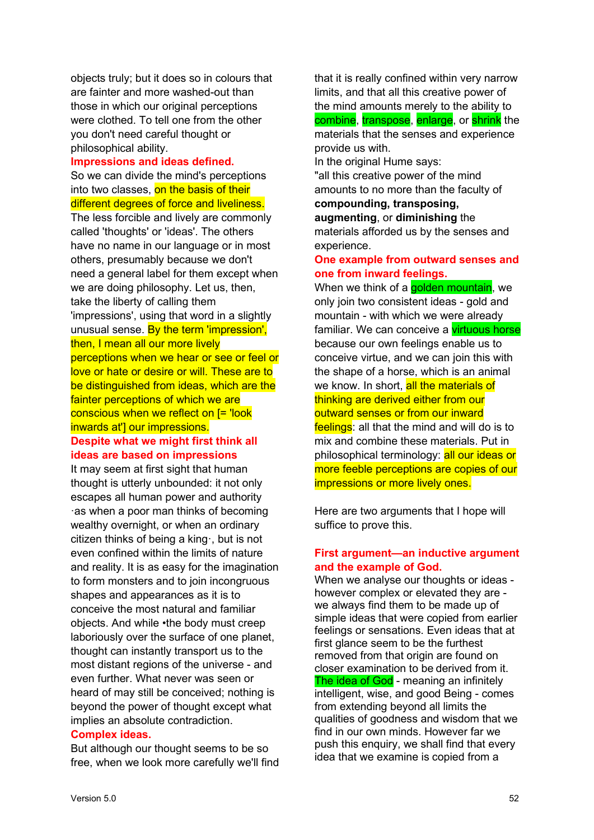objects truly; but it does so in colours that are fainter and more washed-out than those in which our original perceptions were clothed. To tell one from the other you don't need careful thought or philosophical ability.

**Impressions and ideas defined.** 

So we can divide the mind's perceptions into two classes, on the basis of their different degrees of force and liveliness. The less forcible and lively are commonly called 'thoughts' or 'ideas'. The others have no name in our language or in most others, presumably because we don't need a general label for them except when we are doing philosophy. Let us, then, take the liberty of calling them 'impressions', using that word in a slightly unusual sense. By the term 'impression', then, I mean all our more lively perceptions when we hear or see or feel or love or hate or desire or will. These are to be distinguished from ideas, which are the fainter perceptions of which we are conscious when we reflect on [= 'look inwards at'l our impressions.

#### **Despite what we might first think all ideas are based on impressions**

It may seem at first sight that human thought is utterly unbounded: it not only escapes all human power and authority ·as when a poor man thinks of becoming wealthy overnight, or when an ordinary citizen thinks of being a king·, but is not even confined within the limits of nature and reality. It is as easy for the imagination to form monsters and to join incongruous shapes and appearances as it is to conceive the most natural and familiar objects. And while •the body must creep laboriously over the surface of one planet, thought can instantly transport us to the most distant regions of the universe - and even further. What never was seen or heard of may still be conceived; nothing is beyond the power of thought except what implies an absolute contradiction. **Complex ideas.** 

But although our thought seems to be so free, when we look more carefully we'll find

that it is really confined within very narrow limits, and that all this creative power of the mind amounts merely to the ability to combine, transpose, enlarge, or shrink the materials that the senses and experience provide us with.

In the original Hume says: "all this creative power of the mind amounts to no more than the faculty of **compounding, transposing, augmenting**, or **diminishing** the materials afforded us by the senses and experience.

#### **One example from outward senses and one from inward feelings.**

When we think of a **golden mountain**, we only join two consistent ideas - gold and mountain - with which we were already familiar. We can conceive a virtuous horse because our own feelings enable us to conceive virtue, and we can join this with the shape of a horse, which is an animal we know. In short, all the materials of thinking are derived either from our outward senses or from our inward feelings: all that the mind and will do is to mix and combine these materials. Put in philosophical terminology: all our ideas or more feeble perceptions are copies of our impressions or more lively ones.

Here are two arguments that I hope will suffice to prove this.

#### **First argument—an inductive argument and the example of God.**

When we analyse our thoughts or ideas however complex or elevated they are we always find them to be made up of simple ideas that were copied from earlier feelings or sensations. Even ideas that at first glance seem to be the furthest removed from that origin are found on closer examination to be derived from it. The idea of God - meaning an infinitely intelligent, wise, and good Being - comes from extending beyond all limits the qualities of goodness and wisdom that we find in our own minds. However far we push this enquiry, we shall find that every idea that we examine is copied from a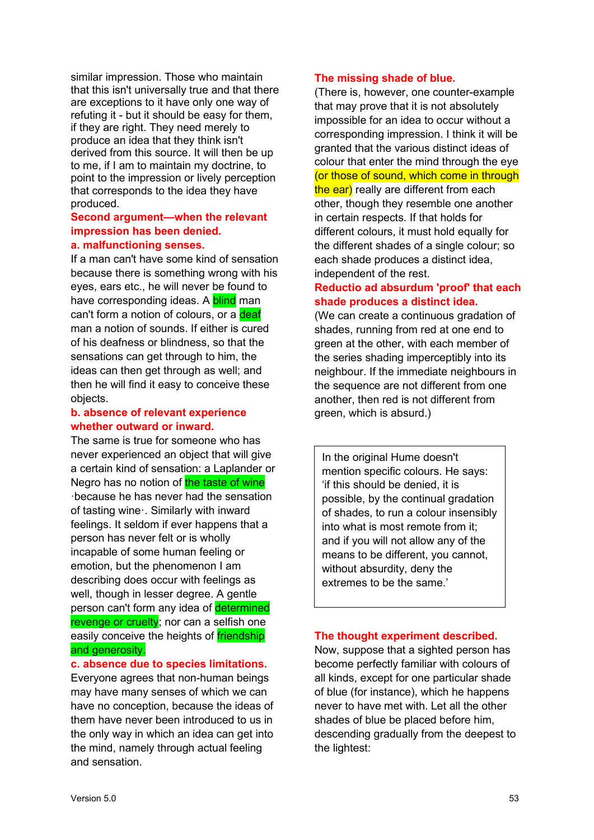similar impression. Those who maintain that this isn't universally true and that there are exceptions to it have only one way of refuting it - but it should be easy for them, if they are right. They need merely to produce an idea that they think isn't derived from this source. It will then be up to me, if I am to maintain my doctrine, to point to the impression or lively perception that corresponds to the idea they have produced.

#### **Second argument—when the relevant impression has been denied. a. malfunctioning senses.**

If a man can't have some kind of sensation because there is something wrong with his eyes, ears etc., he will never be found to have corresponding ideas. A **blind** man can't form a notion of colours, or a deaf man a notion of sounds. If either is cured of his deafness or blindness, so that the sensations can get through to him, the ideas can then get through as well; and then he will find it easy to conceive these objects.

#### **b. absence of relevant experience whether outward or inward.**

The same is true for someone who has never experienced an object that will give a certain kind of sensation: a Laplander or Negro has no notion of the taste of wine ·because he has never had the sensation of tasting wine·. Similarly with inward feelings. It seldom if ever happens that a person has never felt or is wholly incapable of some human feeling or emotion, but the phenomenon I am describing does occur with feelings as well, though in lesser degree. A gentle person can't form any idea of determined revenge or cruelty; nor can a selfish one easily conceive the heights of **friendship** and generosity.

#### **c. absence due to species limitations.**

Everyone agrees that non-human beings may have many senses of which we can have no conception, because the ideas of them have never been introduced to us in the only way in which an idea can get into the mind, namely through actual feeling and sensation.

#### **The missing shade of blue.**

(There is, however, one counter-example that may prove that it is not absolutely impossible for an idea to occur without a corresponding impression. I think it will be granted that the various distinct ideas of colour that enter the mind through the eye (or those of sound, which come in through the ear) really are different from each other, though they resemble one another in certain respects. If that holds for different colours, it must hold equally for the different shades of a single colour; so each shade produces a distinct idea, independent of the rest.

#### **Reductio ad absurdum 'proof' that each shade produces a distinct idea.**

(We can create a continuous gradation of shades, running from red at one end to green at the other, with each member of the series shading imperceptibly into its neighbour. If the immediate neighbours in the sequence are not different from one another, then red is not different from green, which is absurd.)

In the original Hume doesn't mention specific colours. He says: 'if this should be denied, it is possible, by the continual gradation of shades, to run a colour insensibly into what is most remote from it; and if you will not allow any of the means to be different, you cannot, without absurdity, deny the extremes to be the same.'

#### **The thought experiment described.**

Now, suppose that a sighted person has become perfectly familiar with colours of all kinds, except for one particular shade of blue (for instance), which he happens never to have met with. Let all the other shades of blue be placed before him, descending gradually from the deepest to the lightest: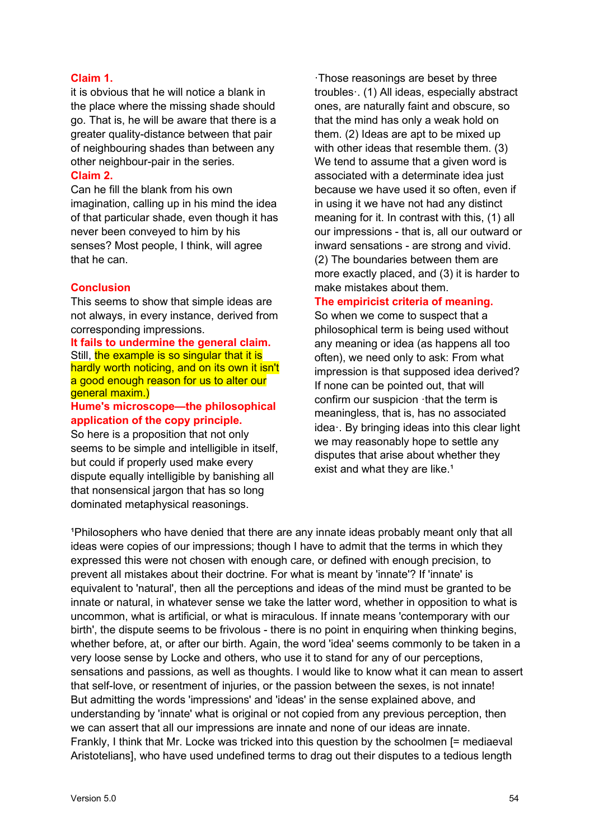#### **Claim 1.**

it is obvious that he will notice a blank in the place where the missing shade should go. That is, he will be aware that there is a greater quality-distance between that pair of neighbouring shades than between any other neighbour-pair in the series. **Claim 2.** 

Can he fill the blank from his own imagination, calling up in his mind the idea of that particular shade, even though it has never been conveyed to him by his senses? Most people, I think, will agree that he can.

#### **Conclusion**

This seems to show that simple ideas are not always, in every instance, derived from corresponding impressions.

**It fails to undermine the general claim.**  Still, the example is so singular that it is hardly worth noticing, and on its own it isn't a good enough reason for us to alter our general maxim.)

#### **Hume's microscope—the philosophical application of the copy principle.**

So here is a proposition that not only seems to be simple and intelligible in itself, but could if properly used make every dispute equally intelligible by banishing all that nonsensical jargon that has so long dominated metaphysical reasonings.

·Those reasonings are beset by three troubles·. (1) All ideas, especially abstract ones, are naturally faint and obscure, so that the mind has only a weak hold on them. (2) Ideas are apt to be mixed up with other ideas that resemble them. (3) We tend to assume that a given word is associated with a determinate idea just because we have used it so often, even if in using it we have not had any distinct meaning for it. In contrast with this, (1) all our impressions - that is, all our outward or inward sensations - are strong and vivid. (2) The boundaries between them are more exactly placed, and (3) it is harder to make mistakes about them.

#### **The empiricist criteria of meaning.**

So when we come to suspect that a philosophical term is being used without any meaning or idea (as happens all too often), we need only to ask: From what impression is that supposed idea derived? If none can be pointed out, that will confirm our suspicion ·that the term is meaningless, that is, has no associated idea·. By bringing ideas into this clear light we may reasonably hope to settle any disputes that arise about whether they exist and what they are like.<sup>1</sup>

Philosophers who have denied that there are any innate ideas probably meant only that all ideas were copies of our impressions; though I have to admit that the terms in which they expressed this were not chosen with enough care, or defined with enough precision, to prevent all mistakes about their doctrine. For what is meant by 'innate'? If 'innate' is equivalent to 'natural', then all the perceptions and ideas of the mind must be granted to be innate or natural, in whatever sense we take the latter word, whether in opposition to what is uncommon, what is artificial, or what is miraculous. If innate means 'contemporary with our birth', the dispute seems to be frivolous - there is no point in enquiring when thinking begins, whether before, at, or after our birth. Again, the word 'idea' seems commonly to be taken in a very loose sense by Locke and others, who use it to stand for any of our perceptions, sensations and passions, as well as thoughts. I would like to know what it can mean to assert that self-love, or resentment of injuries, or the passion between the sexes, is not innate! But admitting the words 'impressions' and 'ideas' in the sense explained above, and understanding by 'innate' what is original or not copied from any previous perception, then we can assert that all our impressions are innate and none of our ideas are innate. Frankly, I think that Mr. Locke was tricked into this question by the schoolmen [= mediaeval Aristotelians], who have used undefined terms to drag out their disputes to a tedious length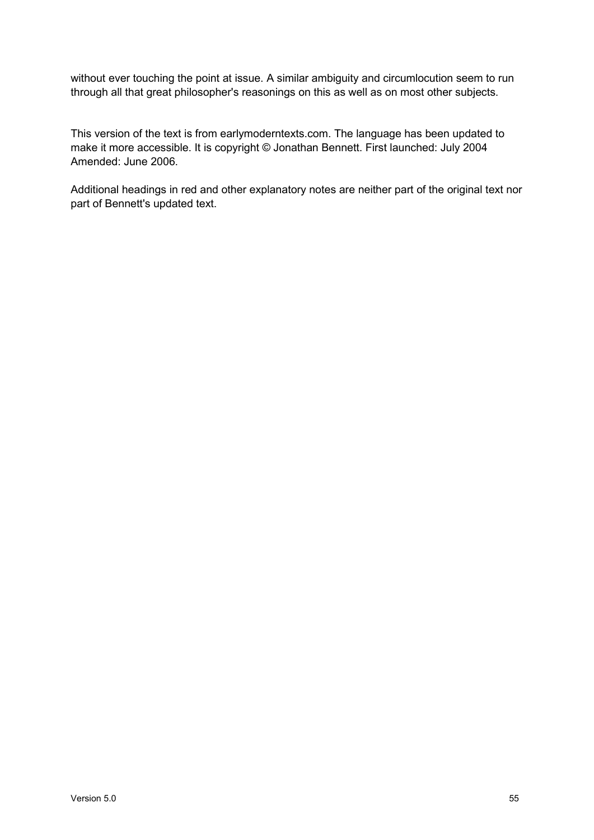without ever touching the point at issue. A similar ambiguity and circumlocution seem to run through all that great philosopher's reasonings on this as well as on most other subjects.

This version of the text is from earlymoderntexts.com. The language has been updated to make it more accessible. It is copyright © Jonathan Bennett. First launched: July 2004 Amended: June 2006.

Additional headings in red and other explanatory notes are neither part of the original text nor part of Bennett's updated text.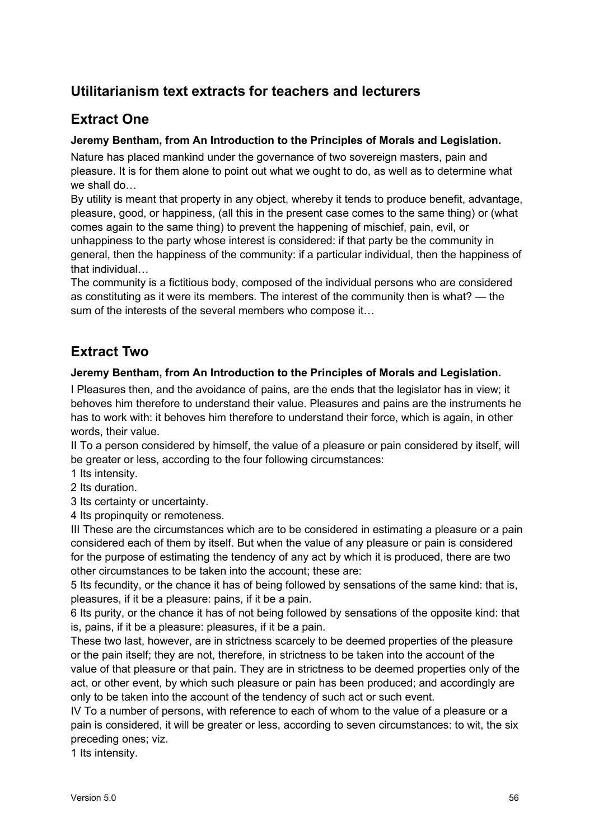## **Utilitarianism text extracts for teachers and lecturers**

### **Extract One**

#### **Jeremy Bentham, from An Introduction to the Principles of Morals and Legislation.**

Nature has placed mankind under the governance of two sovereign masters, pain and pleasure. It is for them alone to point out what we ought to do, as well as to determine what we shall do…

By utility is meant that property in any object, whereby it tends to produce benefit, advantage, pleasure, good, or happiness, (all this in the present case comes to the same thing) or (what comes again to the same thing) to prevent the happening of mischief, pain, evil, or unhappiness to the party whose interest is considered: if that party be the community in general, then the happiness of the community: if a particular individual, then the happiness of that individual…

The community is a fictitious body, composed of the individual persons who are considered as constituting as it were its members. The interest of the community then is what? — the sum of the interests of the several members who compose it…

### **Extract Two**

#### **Jeremy Bentham, from An Introduction to the Principles of Morals and Legislation.**

I Pleasures then, and the avoidance of pains, are the ends that the legislator has in view; it behoves him therefore to understand their value. Pleasures and pains are the instruments he has to work with: it behoves him therefore to understand their force, which is again, in other words, their value.

II To a person considered by himself, the value of a pleasure or pain considered by itself, will be greater or less, according to the four following circumstances:

1 Its intensity.

2 Its duration.

3 Its certainty or uncertainty.

4 Its propinquity or remoteness.

III These are the circumstances which are to be considered in estimating a pleasure or a pain considered each of them by itself. But when the value of any pleasure or pain is considered for the purpose of estimating the tendency of any act by which it is produced, there are two other circumstances to be taken into the account; these are:

5 Its fecundity, or the chance it has of being followed by sensations of the same kind: that is, pleasures, if it be a pleasure: pains, if it be a pain.

6 Its purity, or the chance it has of not being followed by sensations of the opposite kind: that is, pains, if it be a pleasure: pleasures, if it be a pain.

These two last, however, are in strictness scarcely to be deemed properties of the pleasure or the pain itself; they are not, therefore, in strictness to be taken into the account of the value of that pleasure or that pain. They are in strictness to be deemed properties only of the act, or other event, by which such pleasure or pain has been produced; and accordingly are only to be taken into the account of the tendency of such act or such event.

IV To a number of persons, with reference to each of whom to the value of a pleasure or a pain is considered, it will be greater or less, according to seven circumstances: to wit, the six preceding ones; viz.

1 Its intensity.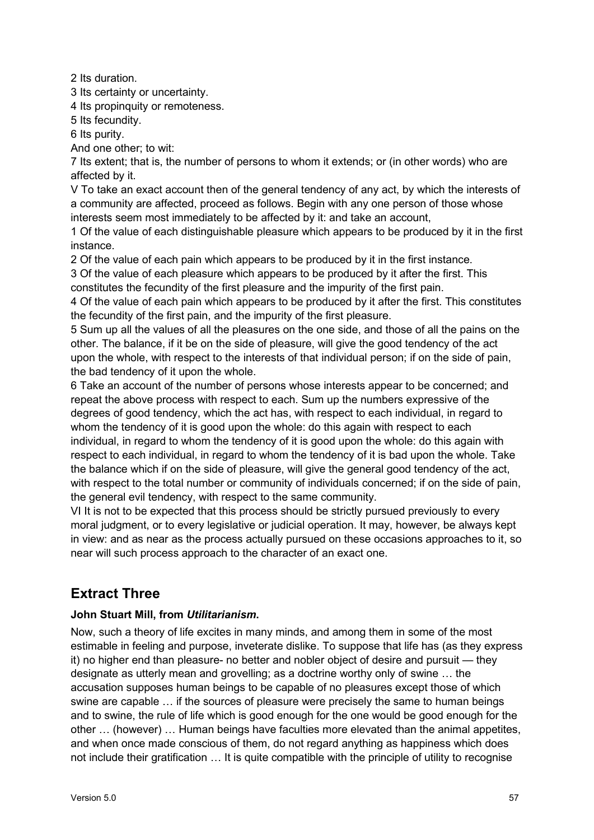2 Its duration.

3 Its certainty or uncertainty.

4 Its propinquity or remoteness.

5 Its fecundity.

6 Its purity.

And one other; to wit:

7 Its extent; that is, the number of persons to whom it extends; or (in other words) who are affected by it.

V To take an exact account then of the general tendency of any act, by which the interests of a community are affected, proceed as follows. Begin with any one person of those whose interests seem most immediately to be affected by it: and take an account,

1 Of the value of each distinguishable pleasure which appears to be produced by it in the first instance.

2 Of the value of each pain which appears to be produced by it in the first instance.

3 Of the value of each pleasure which appears to be produced by it after the first. This constitutes the fecundity of the first pleasure and the impurity of the first pain.

4 Of the value of each pain which appears to be produced by it after the first. This constitutes the fecundity of the first pain, and the impurity of the first pleasure.

5 Sum up all the values of all the pleasures on the one side, and those of all the pains on the other. The balance, if it be on the side of pleasure, will give the good tendency of the act upon the whole, with respect to the interests of that individual person; if on the side of pain, the bad tendency of it upon the whole.

6 Take an account of the number of persons whose interests appear to be concerned; and repeat the above process with respect to each. Sum up the numbers expressive of the degrees of good tendency, which the act has, with respect to each individual, in regard to whom the tendency of it is good upon the whole: do this again with respect to each individual, in regard to whom the tendency of it is good upon the whole: do this again with respect to each individual, in regard to whom the tendency of it is bad upon the whole. Take the balance which if on the side of pleasure, will give the general good tendency of the act, with respect to the total number or community of individuals concerned; if on the side of pain, the general evil tendency, with respect to the same community.

VI It is not to be expected that this process should be strictly pursued previously to every moral judgment, or to every legislative or judicial operation. It may, however, be always kept in view: and as near as the process actually pursued on these occasions approaches to it, so near will such process approach to the character of an exact one.

### **Extract Three**

#### **John Stuart Mill, from** *Utilitarianism***.**

Now, such a theory of life excites in many minds, and among them in some of the most estimable in feeling and purpose, inveterate dislike. To suppose that life has (as they express it) no higher end than pleasure- no better and nobler object of desire and pursuit — they designate as utterly mean and grovelling; as a doctrine worthy only of swine … the accusation supposes human beings to be capable of no pleasures except those of which swine are capable … if the sources of pleasure were precisely the same to human beings and to swine, the rule of life which is good enough for the one would be good enough for the other … (however) … Human beings have faculties more elevated than the animal appetites, and when once made conscious of them, do not regard anything as happiness which does not include their gratification … It is quite compatible with the principle of utility to recognise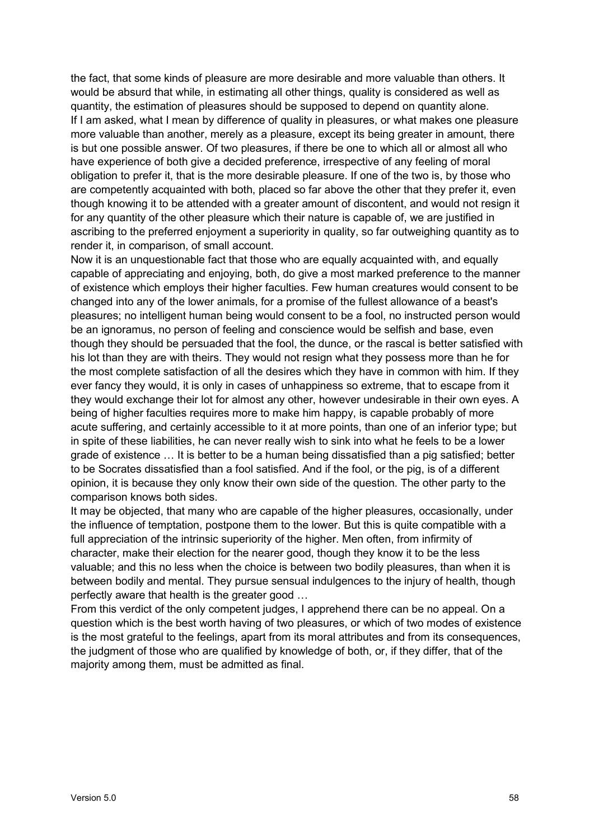the fact, that some kinds of pleasure are more desirable and more valuable than others. It would be absurd that while, in estimating all other things, quality is considered as well as quantity, the estimation of pleasures should be supposed to depend on quantity alone. If I am asked, what I mean by difference of quality in pleasures, or what makes one pleasure more valuable than another, merely as a pleasure, except its being greater in amount, there is but one possible answer. Of two pleasures, if there be one to which all or almost all who have experience of both give a decided preference, irrespective of any feeling of moral obligation to prefer it, that is the more desirable pleasure. If one of the two is, by those who are competently acquainted with both, placed so far above the other that they prefer it, even though knowing it to be attended with a greater amount of discontent, and would not resign it for any quantity of the other pleasure which their nature is capable of, we are justified in ascribing to the preferred enjoyment a superiority in quality, so far outweighing quantity as to render it, in comparison, of small account.

Now it is an unquestionable fact that those who are equally acquainted with, and equally capable of appreciating and enjoying, both, do give a most marked preference to the manner of existence which employs their higher faculties. Few human creatures would consent to be changed into any of the lower animals, for a promise of the fullest allowance of a beast's pleasures; no intelligent human being would consent to be a fool, no instructed person would be an ignoramus, no person of feeling and conscience would be selfish and base, even though they should be persuaded that the fool, the dunce, or the rascal is better satisfied with his lot than they are with theirs. They would not resign what they possess more than he for the most complete satisfaction of all the desires which they have in common with him. If they ever fancy they would, it is only in cases of unhappiness so extreme, that to escape from it they would exchange their lot for almost any other, however undesirable in their own eyes. A being of higher faculties requires more to make him happy, is capable probably of more acute suffering, and certainly accessible to it at more points, than one of an inferior type; but in spite of these liabilities, he can never really wish to sink into what he feels to be a lower grade of existence … It is better to be a human being dissatisfied than a pig satisfied; better to be Socrates dissatisfied than a fool satisfied. And if the fool, or the pig, is of a different opinion, it is because they only know their own side of the question. The other party to the comparison knows both sides.

It may be objected, that many who are capable of the higher pleasures, occasionally, under the influence of temptation, postpone them to the lower. But this is quite compatible with a full appreciation of the intrinsic superiority of the higher. Men often, from infirmity of character, make their election for the nearer good, though they know it to be the less valuable; and this no less when the choice is between two bodily pleasures, than when it is between bodily and mental. They pursue sensual indulgences to the injury of health, though perfectly aware that health is the greater good …

From this verdict of the only competent judges, I apprehend there can be no appeal. On a question which is the best worth having of two pleasures, or which of two modes of existence is the most grateful to the feelings, apart from its moral attributes and from its consequences, the judgment of those who are qualified by knowledge of both, or, if they differ, that of the majority among them, must be admitted as final.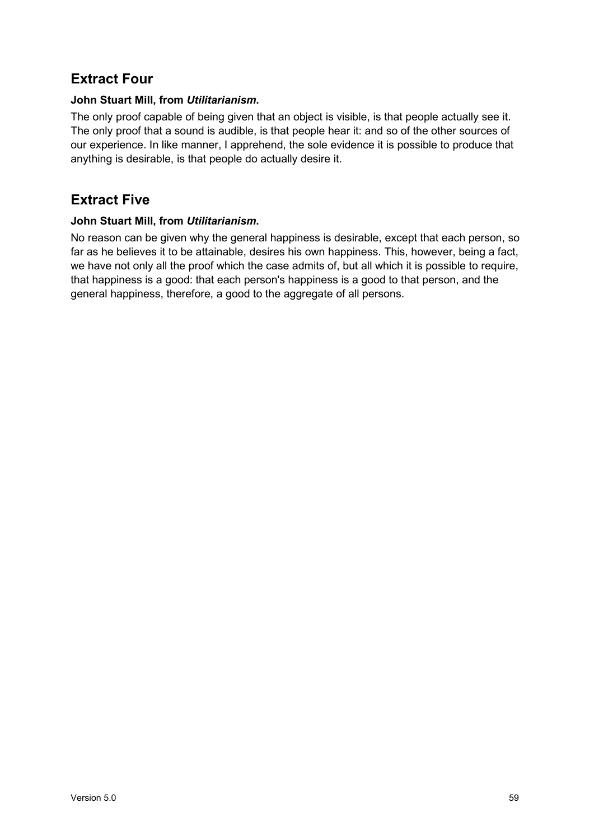### **Extract Four**

#### **John Stuart Mill, from** *Utilitarianism***.**

The only proof capable of being given that an object is visible, is that people actually see it. The only proof that a sound is audible, is that people hear it: and so of the other sources of our experience. In like manner, I apprehend, the sole evidence it is possible to produce that anything is desirable, is that people do actually desire it.

### **Extract Five**

#### **John Stuart Mill, from** *Utilitarianism***.**

No reason can be given why the general happiness is desirable, except that each person, so far as he believes it to be attainable, desires his own happiness. This, however, being a fact, we have not only all the proof which the case admits of, but all which it is possible to require, that happiness is a good: that each person's happiness is a good to that person, and the general happiness, therefore, a good to the aggregate of all persons.